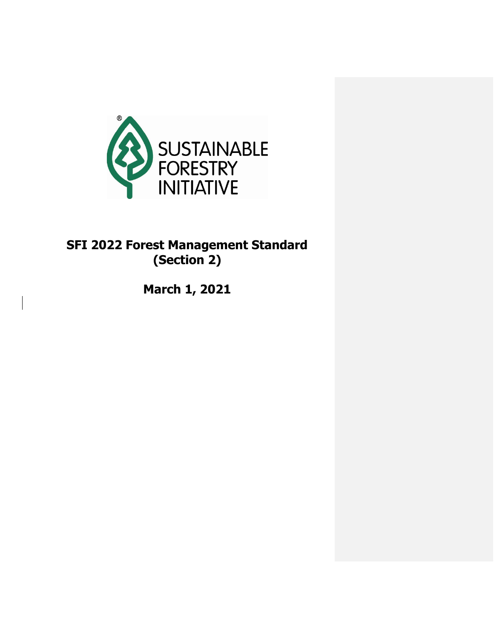

# **SFI 2022 Forest Management Standard (Section 2)**

**March 1, 2021**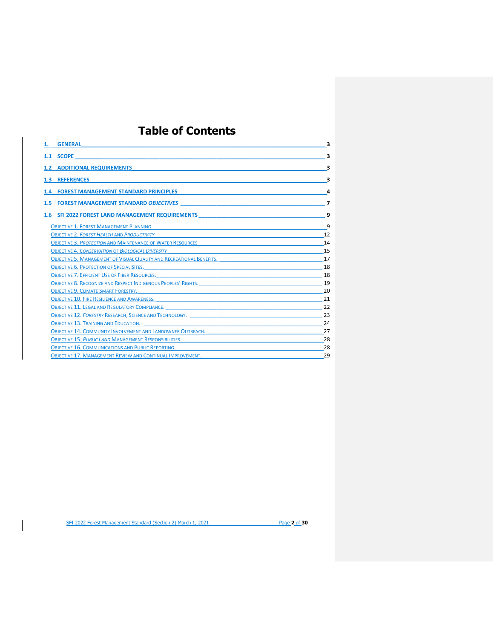# **Table of Contents**

| <b>GENERAL</b>                                                              | 3  |
|-----------------------------------------------------------------------------|----|
| 1.1 SCOPE                                                                   | 3  |
| <b>1.2 ADDITIONAL REQUIREMENTS</b>                                          | з  |
| <b>REFERENCES</b><br>1.3 <sub>2</sub>                                       | 3  |
| <b>FOREST MANAGEMENT STANDARD PRINCIPLES</b>                                | 4  |
| 1.5 FOREST MANAGEMENT STANDARD OBJECTIVES                                   |    |
| 1.6 SFI 2022 FOREST LAND MANAGEMENT REQUIREMENTS                            | q  |
| <b>OBJECTIVE 1. FOREST MANAGEMENT PLANNING</b>                              | q  |
| <b>OBJECTIVE 2. FOREST HEALTH AND PRODUCTIVITY</b>                          | 12 |
| <b>OBJECTIVE 3. PROTECTION AND MAINTENANCE OF WATER RESOURCES</b>           | 14 |
| <b>OBJECTIVE 4. CONSERVATION OF BIOLOGICAL DIVERSITY</b>                    | 15 |
| <b>OBJECTIVE 5. MANAGEMENT OF VISUAL QUALITY AND RECREATIONAL BENEFITS.</b> | 17 |
| <b>OBJECTIVE 6. PROTECTION OF SPECIAL SITES.</b>                            | 18 |
| <b>OBJECTIVE 7. EFFICIENT USE OF FIBER RESOURCES.</b>                       | 18 |
| OBJECTIVE 8. RECOGNIZE AND RESPECT INDIGENOUS PEOPLES' RIGHTS.              | 19 |
| <b>OBJECTIVE 9. CLIMATE SMART FORESTRY.</b>                                 | 20 |
| <b>OBJECTIVE 10. FIRE RESILIENCE AND AWARENESS.</b>                         | 21 |
| <b>OBJECTIVE 11. LEGAL AND REGULATORY COMPLIANCE.</b>                       | 22 |
| <b>OBJECTIVE 12. FORESTRY RESEARCH, SCIENCE AND TECHNOLOGY.</b>             | 23 |
| <b>OBJECTIVE 13. TRAINING AND EDUCATION.</b>                                | 24 |
| <b>OBJECTIVE 14. COMMUNITY INVOLVEMENT AND LANDOWNER OUTREACH.</b>          | 27 |
| <b>OBJECTIVE 15: PUBLIC LAND MANAGEMENT RESPONSIBILITIES.</b>               | 28 |
| <b>OBJECTIVE 16. COMMUNICATIONS AND PUBLIC REPORTING.</b>                   | 28 |
| <b>OBJECTIVE 17. MANAGEMENT REVIEW AND CONTINUAL IMPROVEMENT.</b>           | 29 |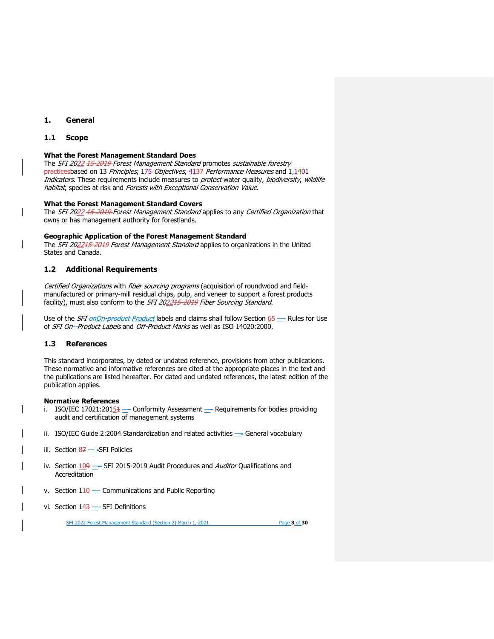# <span id="page-2-0"></span>**1. General**

## <span id="page-2-1"></span>**1.1 Scope**

## **What the Forest Management Standard Does**

The SFI 2022 15-2019 Forest Management Standard promotes sustainable forestry practicesbased on 13 Principles, 175 Objectives, 4137 Performance Measures and 1,1401 Indicators. These requirements include measures to protect water quality, biodiversity, wildlife habitat, species at risk and Forests with Exceptional Conservation Value.

## **What the Forest Management Standard Covers**

The SFI 2022 15-2019 Forest Management Standard applies to any Certified Organization that owns or has management authority for forestlands.

#### **Geographic Application of the Forest Management Standard**

The SFI 202215-2019 Forest Management Standard applies to organizations in the United States and Canada.

## <span id="page-2-2"></span>**1.2 Additional Requirements**

Certified Organizations with fiber sourcing programs (acquisition of roundwood and fieldmanufactured or primary-mill residual chips, pulp, and veneer to support a forest products facility), must also conform to the SFI 202215-2019 Fiber Sourcing Standard.

Use of the *SFI onOn-product Product* labels and claims shall follow Section 65 — Rules for Use of SFI On--Product Labels and Off-Product Marks as well as ISO 14020:2000.

## <span id="page-2-3"></span>**1.3 References**

This standard incorporates, by dated or undated reference, provisions from other publications. These normative and informative references are cited at the appropriate places in the text and the publications are listed hereafter. For dated and undated references, the latest edition of the publication applies.

### **Normative References**

- i. ISO/IEC 17021:201 $\underline{54}$  Conformity Assessment Requirements for bodies providing audit and certification of management systems
- ii. ISO/IEC Guide 2:2004 Standardization and related activities General vocabulary
- iii. Section  $87 -$ SFI Policies
- iv. Section  $109$  SFI 2015-2019 Audit Procedures and Auditor Qualifications and Accreditation
- v. Section  $1\underline{10}$  —- Communications and Public Reporting
- vi. Section  $143$  SFI Definitions

SFI 2022 Forest Management Standard (Section 2) March 1, 2021 Page **3** of **30**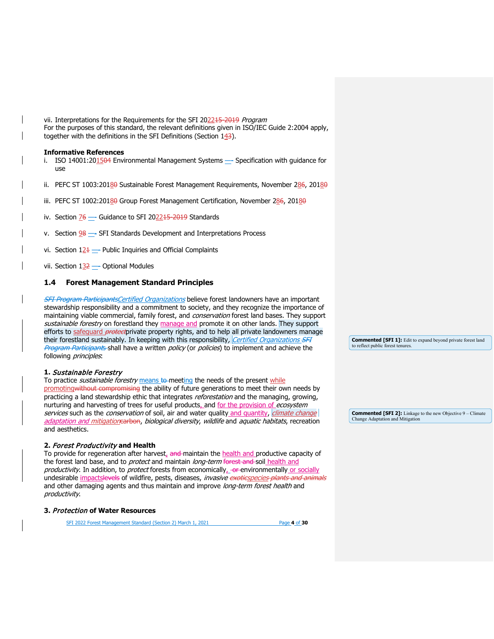vii. Interpretations for the Requirements for the SFI 2022<del>15-2019</del> Program For the purposes of this standard, the relevant definitions given in ISO/IEC Guide 2:2004 apply, together with the definitions in the SFI Definitions (Section  $143$ ).

#### **Informative References**

- i. ISO 14001:201504 Environmental Management Systems Specification with guidance for use
- ii. PEFC ST 1003:20180 Sustainable Forest Management Requirements, November 286, 20180
- iii. PEFC ST 1002:20180 Group Forest Management Certification, November 286, 20180
- iv. Section 76 Guidance to SFI 202215-2019 Standards
- v. Section  $98$   $-$  SFI Standards Development and Interpretations Process
- vi. Section  $12\pm 1$  Public Inquiries and Official Complaints
- vii. Section  $132$  Optional Modules

## <span id="page-3-0"></span>**1.4 Forest Management Standard Principles**

**SFI Program ParticipantsCertified Organizations believe forest landowners have an important** stewardship responsibility and a commitment to society, and they recognize the importance of maintaining viable commercial, family forest, and conservation forest land bases. They support sustainable forestry on forestland they manage and promote it on other lands. They support efforts to safequard *protect*private property rights, and to help all private landowners manage their forestland sustainably. In keeping with this responsibility, *Certified Organizations SFI* Program Participants shall have a written policy (or policies) to implement and achieve the following *principles*.

#### **1.** Sustainable Forestry

To practice *sustainable forestry* means to meeting the needs of the present while promotingwithout compromising the ability of future generations to meet their own needs by practicing a land stewardship ethic that integrates *reforestation* and the managing, growing, nurturing and harvesting of trees for useful products, and for the provision of ecosystem services such as the conservation of soil, air and water quality and quantity, *climate change* adaptation and mitigationearbon, biological diversity, wildlife and aquatic habitats, recreation and aesthetics.

# **2.** Forest Productivity **and Health**

To provide for regeneration after harvest, and maintain the health and productive capacity of the forest land base, and to *protect* and maintain long-term forest and soil health and productivity. In addition, to protect forests from economically  $\rightarrow$  environmentally or socially ,<br>undesirable <u>impacts<del>levels</del> of wildfire, pests, diseases, *invasive <del>exotic</del>species <del>plants and animals</del>*</u> and other damaging agents and thus maintain and improve long-term forest health and productivity.

#### **3.** Protection **of Water Resources**

SFI 2022 Forest Management Standard (Section 2) March 1, 2021 Page **4** of **30**

**Commented [SFI 1]:** Edit to expand beyond private forest land to reflect public forest tenures.

**Commented [SFI 2]:** Linkage to the new Objective 9 – Climate Change Adaptation and Mitigation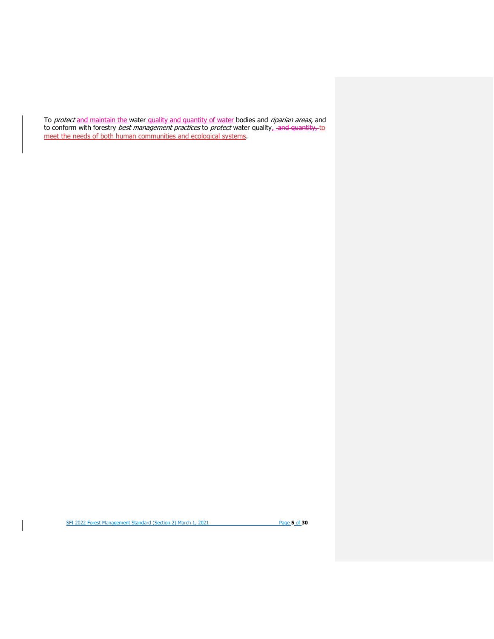To protect and maintain the water quality and quantity of water bodies and riparian areas, and to conform with forestry *best management practices* to *protect* water quality<u>, -a<del>nd quantity, t</del>o</u> meet the needs of both human communities and ecological systems.

SFI 2022 Forest Management Standard (Section 2) March 1, 2021 **Page 5** of 30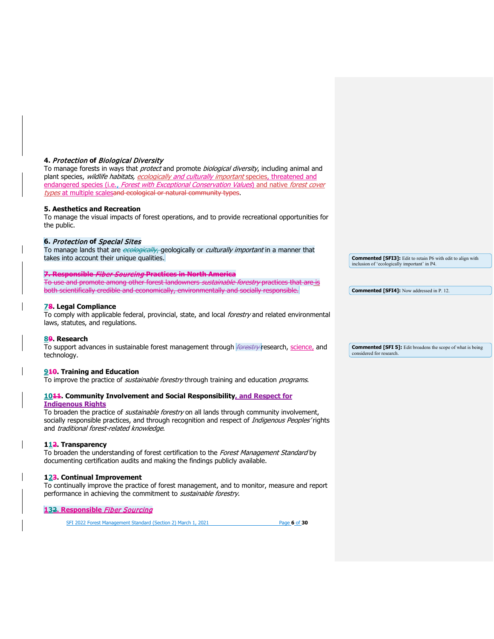# **4.** Protection **of** Biological Diversity

To manage forests in ways that protect and promote biological diversity, including animal and plant species, wildlife habitats, ecologically and culturally important species, threatened and endangered species (i.e., Forest with Exceptional Conservation Values) and native forest cover types at multiple scalesand ecological or natural community types.

# **5. Aesthetics and Recreation**

To manage the visual impacts of forest operations, and to provide recreational opportunities for the public.

# **6.** Protection **of** Special Sites

To manage lands that are ecologically, geologically or culturally important in a manner that takes into account their unique qualities.

# **7. Responsible** Fiber Sourcing **Practices in North America**

To use and promote among other forest landowners sustainable forestry practices that are is both scientifically credible and economically, environmentally and socially responsible.

# **78. Legal Compliance**

To comply with applicable federal, provincial, state, and local forestry and related environmental laws, statutes, and regulations.

# **89. Research**

To support advances in sustainable forest management through *forestry* research, science, and technology.

# **910. Training and Education**

To improve the practice of *sustainable forestry* through training and education *programs*.

#### **1044. Community Involvement and Social Responsibility, and Respect for Indigenous Rights**

To broaden the practice of *sustainable forestry* on all lands through community involvement, socially responsible practices, and through recognition and respect of Indigenous Peoples' rights and traditional forest-related knowledge.

# **112. Transparency**

To broaden the understanding of forest certification to the Forest Management Standard by documenting certification audits and making the findings publicly available.

# **123. Continual Improvement**

To continually improve the practice of forest management, and to monitor, measure and report performance in achieving the commitment to *sustainable forestry*.

# **132. Responsible** Fiber Sourcing

SFI 2022 Forest Management Standard (Section 2) March 1, 2021 Page **6** of **30**

**Commented [SFI3]:** Edit to retain P6 with edit to align with inclusion of 'ecologically important' in P4.

**Commented [SFI4]:** Now addressed in P. 12.

**Commented [SFI 5]:** Edit broadens the scope of what is being considered for research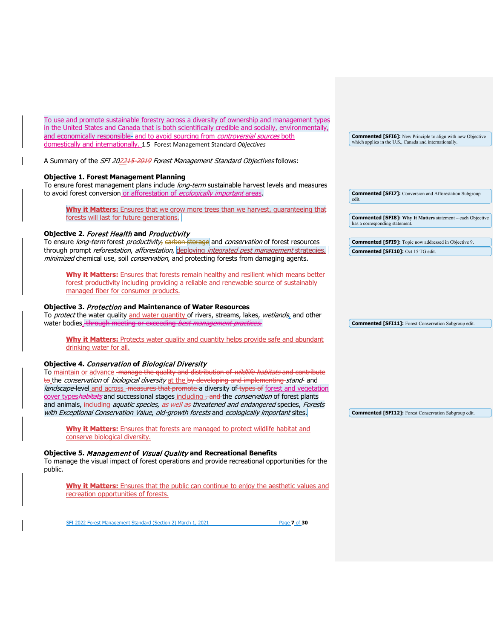| To use and promote sustainable forestry across a diversity of ownership and management types        |
|-----------------------------------------------------------------------------------------------------|
| in the United States and Canada that is both scientifically credible and socially, environmentally, |
| and economically responsible and to avoid sourcing from <i>controversial sources</i> both           |
| domestically and internationally, 1.5 Forest Management Standard Objectives                         |

<span id="page-6-0"></span>A Summary of the SFI 202215-2019 Forest Management Standard Objectives follows:

## **[Objective 1. Forest Management Planning](#page-8-2)**

To ensure forest management plans include long-term sustainable harvest levels and measures to avoid forest conversion or afforestation of ecologically important areas.

**Why it Matters:** Ensures that we grow more trees than we harvest, guaranteeing that forests will last for future generations.

## **[Objective 2.](#page-10-0)** Forest Health **and** Productivity

To ensure long-term forest productivity, carbon storage and conservation of forest resources through prompt reforestation, afforestation, deploying integrated pest management strategies, minimized chemical use, soil conservation, and protecting forests from damaging agents.

**Why it Matters:** Ensures that forests remain healthy and resilient which means better forest productivity including providing a reliable and renewable source of sustainably managed fiber for consumer products.

#### **Objective 3.** Protection **[and Maintenance of Water Resources](#page-13-0)**

To protect the water quality and water quantity of rivers, streams, lakes, wetlands, and other water bodies. through meeting or exceeding best management practices

**Why it Matters:** Protects water quality and quantity helps provide safe and abundant drinking water for all.

## **Objective 4.** Conservation **of** [Biological Diversity](#page-14-0)

To maintain or advance - manage the quality and distribution of *wildlife habitats* and contribute to the *conservation* of *biological diversity* at the by developing and implementing-stand- and landscape-level and across - measures that promote a diversity of types of forest and vegetation cover typeshabitats and successional stages including - and the *conservation* of forest plants and animals, including *aquatic species, as well as threatened and endangered* species, *Forests* with Exceptional Conservation Value, old-growth forests and ecologically important sites.

**Why it Matters:** Ensures that forests are managed to protect wildlife habitat and conserve biological diversity.

#### **Objective 5.** Management **of** Visual Quality **[and Recreational Benefits](#page-16-0)**

To manage the visual impact of forest operations and provide recreational opportunities for the public.

**Why it Matters:** Ensures that the public can continue to enjoy the aesthetic values and recreation opportunities of forests.

SFI 2022 Forest Management Standard (Section 2) March 1, 2021 Page **7** of **30**

**Commented [SFI6]:** New Principle to align with new Objective which applies in the U.S., Canada and internationally.

**Commented [SFI7]:** Conversion and Afforestation Subgroup edit.

**Commented [SFI8]: Why It Matters** statement – each Objective has a corresponding stateme

**Commented [SFI9]:** Topic now addressed in Objective 9. **Commented [SFI10]:** Oct 15 TG edit.

**Commented [SFI11]:** Forest Conservation Subgroup edit.

**Commented [SFI12]:** Forest Conservation Subgroup edit.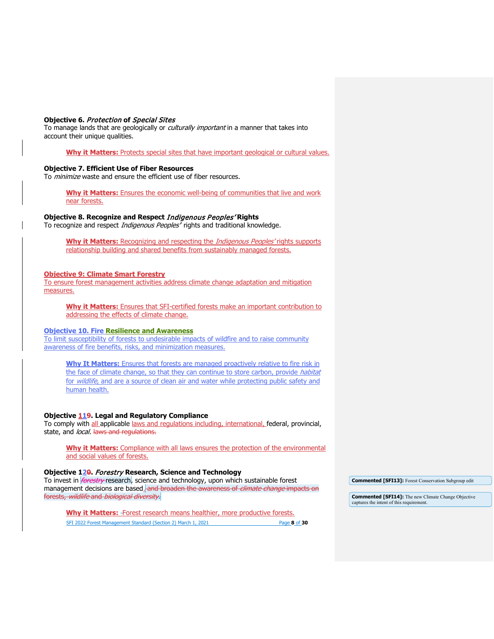#### **Objective 6.** Protection **of** [Special Sites](#page-17-2)

To manage lands that are geologically or *culturally important* in a manner that takes into account their unique qualities.

**Why it Matters:** Protects special sites that have important geological or cultural values.

## **[Objective 7. Efficient Use of Fiber Resources](#page-17-1)**

To *minimize* waste and ensure the efficient use of fiber resources.

**Why it Matters:** Ensures the economic well-being of communities that live and work near forests.

## **Objective 8. Recognize and Respect** Indigenous Peoples' **Rights**

To recognize and respect *Indigenous Peoples'* rights and traditional knowledge.

Why it Matters: Recognizing and respecting the *Indigenous Peoples'* rights supports relationship building and shared benefits from sustainably managed forests.

#### **Objective 9: Climate Smart Forestry**

To ensure forest management activities address climate change adaptation and mitigation measures.

**Why it Matters:** Ensures that SFI-certified forests make an important contribution to addressing the effects of climate change.

#### **Objective 10. Fire Resilience and Awareness**

To limit susceptibility of forests to undesirable impacts of wildfire and to raise community awareness of fire benefits, risks, and minimization measures.

**Why It Matters:** Ensures that forests are managed proactively relative to fire risk in the face of climate change, so that they can continue to store carbon, provide habitat for *wildlife*, and are a source of clean air and water while protecting public safety and human health.

#### **Objective 119. Legal and Regulatory Compliance**

To comply with all applicable laws and regulations including, international, federal, provincial, state, and *local*. laws and regulations.

**Why it Matters:** Compliance with all laws ensures the protection of the environmental and social values of forests.

#### **Objective 120.** Forestry **Research, Science and Technology**

To invest in *forestry* research, science and technology, upon which sustainable forest management decisions are based. and broaden the awareness of *climate change* impacts on forests, wildlife and biological diversity.

**Commented [SFI13]:** Forest Conservation Subgroup edit

**Commented [SFI14]:** The new Climate Change Objective captures the intent of this requirement.

SFI 2022 Forest Management Standard (Section 2) March 1, 2021 Page **8** of **30 Why it Matters:** Forest research means healthier, more productive forests.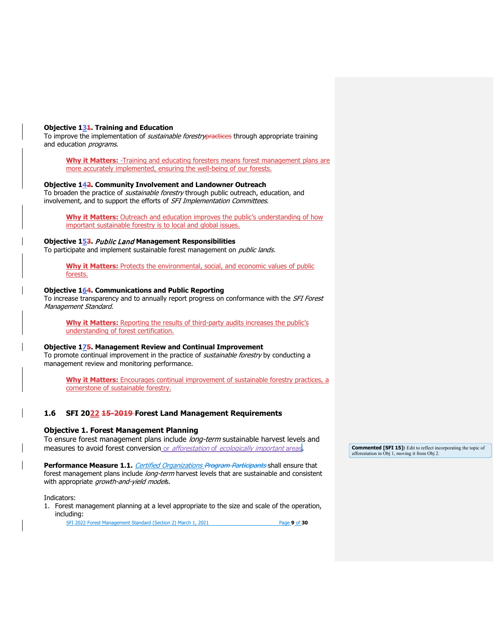## **Objective 131. Training and Education**

To improve the implementation of *sustainable forestry* practices through appropriate training and education *programs*.

**Why it Matters:** Training and educating foresters means forest management plans are more accurately implemented, ensuring the well-being of our forests.

#### **Objective 142. Community Involvement and Landowner Outreach**

To broaden the practice of *sustainable forestry* through public outreach, education, and involvement, and to support the efforts of SFI Implementation Committees.

**Why it Matters:** Outreach and education improves the public's understanding of how important sustainable forestry is to local and global issues.

# **Objective 153.** Public Land **Management Responsibilities**

To participate and implement sustainable forest management on *public lands.* 

Why it Matters: Protects the environmental, social, and economic values of public forests.

#### **Objective 164. Communications and Public Reporting**

To increase transparency and to annually report progress on conformance with the *SFI Forest* Management Standard.

**Why it Matters:** Reporting the results of third-party audits increases the public's understanding of forest certification.

#### **Objective 175. Management Review and Continual Improvement**

To promote continual improvement in the practice of *sustainable forestry* by conducting a management review and monitoring performance.

**Why it Matters:** Encourages continual improvement of sustainable forestry practices, a cornerstone of sustainable forestry.

## <span id="page-8-2"></span><span id="page-8-0"></span>**1.6 SFI 2022 15-2019 Forest Land Management Requirements**

## <span id="page-8-1"></span>**[Objective 1. Forest Management Planning](#page-8-2)**

To ensure forest management plans include long-term sustainable harvest levels and measures to avoid forest conversion or afforestation of ecologically important areas.

Performance Measure 1.1. *Certified Organizations Program Participants* shall ensure that forest management plans include long-term harvest levels that are sustainable and consistent with appropriate growth-and-yield models.

Indicators:

1. Forest management planning at a level appropriate to the size and scale of the operation, including:

SFI 2022 Forest Management Standard (Section 2) March 1, 2021 Page **9** of **30**

**Commented [SFI 15]:** Edit to reflect incorporating the topic of afforestation in Obj 1, moving it from Obj 2.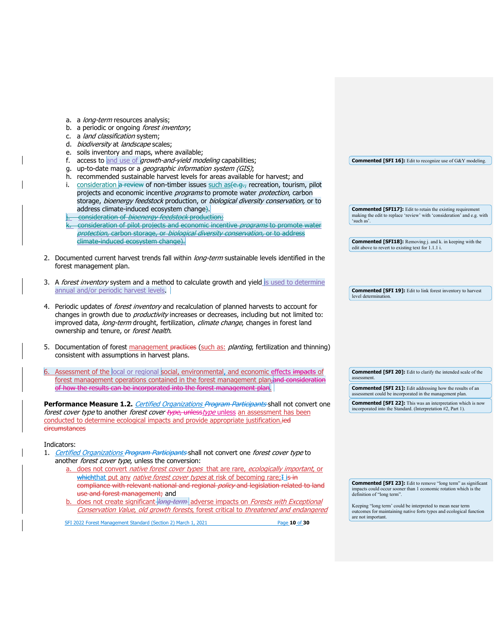| a. a long-term resources analysis;                                                                                                                                 |                                                                                                                                             |
|--------------------------------------------------------------------------------------------------------------------------------------------------------------------|---------------------------------------------------------------------------------------------------------------------------------------------|
| a periodic or ongoing <i>forest inventory</i> ;<br>b.                                                                                                              |                                                                                                                                             |
| a land classification system;<br>c.                                                                                                                                |                                                                                                                                             |
| biodiversity at landscape scales;<br>d.                                                                                                                            |                                                                                                                                             |
| soils inventory and maps, where available;<br>e.                                                                                                                   |                                                                                                                                             |
| access to and use of growth-and-yield modeling capabilities;                                                                                                       | <b>Commented [SFI 16]:</b> Edit to recognize use of G&Y modeling.                                                                           |
| up-to-date maps or a geographic information system (GIS);<br>g.                                                                                                    |                                                                                                                                             |
| recommended sustainable harvest levels for areas available for harvest; and<br>h.                                                                                  |                                                                                                                                             |
| consideration a review of non-timber issues such as (e.g., recreation, tourism, pilot<br>i.                                                                        |                                                                                                                                             |
| projects and economic incentive programs to promote water protection, carbon                                                                                       |                                                                                                                                             |
| storage, bioenergy feedstock production, or biological diversity conservation, or to<br>address climate-induced ecosystem change).                                 |                                                                                                                                             |
| consideration of <i>bioenergy feedstock</i> production;                                                                                                            | <b>Commented [SFI17]:</b> Edit to retain the existing requirement<br>making the edit to replace 'review' with 'consideration' and e.g. with |
| consideration of pilot projects and economic incentive programs to promote water                                                                                   | 'such as'.                                                                                                                                  |
| protection, carbon storage, or biological diversity conservation, or to address                                                                                    |                                                                                                                                             |
| climate induced ecosystem change).                                                                                                                                 | <b>Commented [SFI18]:</b> Removing j. and k. in keeping with the                                                                            |
|                                                                                                                                                                    | edit above to revert to existing text for 1.1.1 i.                                                                                          |
| 2. Documented current harvest trends fall within <i>long-term</i> sustainable levels identified in the                                                             |                                                                                                                                             |
| forest management plan.                                                                                                                                            |                                                                                                                                             |
|                                                                                                                                                                    |                                                                                                                                             |
| 3. A forest inventory system and a method to calculate growth and yield is used to determine                                                                       |                                                                                                                                             |
| annual and/or periodic harvest levels.                                                                                                                             | <b>Commented [SFI 19]:</b> Edit to link forest inventory to harvest                                                                         |
|                                                                                                                                                                    | level determination.                                                                                                                        |
| 4. Periodic updates of <i>forest inventory</i> and recalculation of planned harvests to account for                                                                |                                                                                                                                             |
| changes in growth due to <i>productivity</i> increases or decreases, including but not limited to:                                                                 |                                                                                                                                             |
| improved data, long-term drought, fertilization, climate change, changes in forest land                                                                            |                                                                                                                                             |
| ownership and tenure, or forest health.                                                                                                                            |                                                                                                                                             |
|                                                                                                                                                                    |                                                                                                                                             |
| 5. Documentation of forest management practices (such as: planting, fertilization and thinning)                                                                    |                                                                                                                                             |
| consistent with assumptions in harvest plans.                                                                                                                      |                                                                                                                                             |
|                                                                                                                                                                    |                                                                                                                                             |
| 6. Assessment of the local or regional social, environmental, and economic effects impacts of                                                                      | <b>Commented [SFI 20]:</b> Edit to clarify the intended scale of the<br>assessment.                                                         |
| forest management operations contained in the forest management plan, and consideration<br>of how the results can be incorporated into the forest management plan. |                                                                                                                                             |
|                                                                                                                                                                    | <b>Commented [SFI 21]:</b> Edit addressing how the results of an<br>assessment could be incorporated in the management plan.                |
| Performance Measure 1.2. <i>Certified Organizations Program Participants</i> shall not convert one                                                                 | <b>Commented [SFI 22]:</b> This was an interpretation which is now                                                                          |
| <i>forest cover type</i> to another <i>forest cover <del>type, unless</del>type unless an assessment has been</i>                                                  | incorporated into the Standard. (Interpretation #2, Part 1).                                                                                |
| conducted to determine ecological impacts and provide appropriate justification.jed                                                                                |                                                                                                                                             |
| <b>circumstances</b>                                                                                                                                               |                                                                                                                                             |
|                                                                                                                                                                    |                                                                                                                                             |
| Indicators:                                                                                                                                                        |                                                                                                                                             |
| 1. Certified Organizations Program Participants shall not convert one forest cover type to                                                                         |                                                                                                                                             |
| another forest cover type, unless the conversion:                                                                                                                  |                                                                                                                                             |
| does not convert native forest cover types that are rare, ecologically important, or                                                                               |                                                                                                                                             |
| whichthat put any native forest cover types at risk of becoming rare; I is in                                                                                      |                                                                                                                                             |
| compliance with relevant national and regional policy and legislation related to land                                                                              | <b>Commented [SFI 23]:</b> Edit to remove "long term" as significant<br>impacts could occur sooner than 1 economic rotation which is the    |
| use and forest management; and                                                                                                                                     | definition of "long term".                                                                                                                  |
| does not create significant long term adverse impacts on Forests with Exceptional<br>b.                                                                            | Keeping "long term' could be interpreted to mean near term                                                                                  |
| Conservation Value, old growth forests, forest critical to threatened and endangered                                                                               | outcomes for maintaining native forts types and ecological function                                                                         |
| SFI 2022 Forest Management Standard (Section 2) March 1, 2021<br>Page 10 of 30                                                                                     | are not important.                                                                                                                          |
|                                                                                                                                                                    |                                                                                                                                             |
|                                                                                                                                                                    |                                                                                                                                             |
|                                                                                                                                                                    |                                                                                                                                             |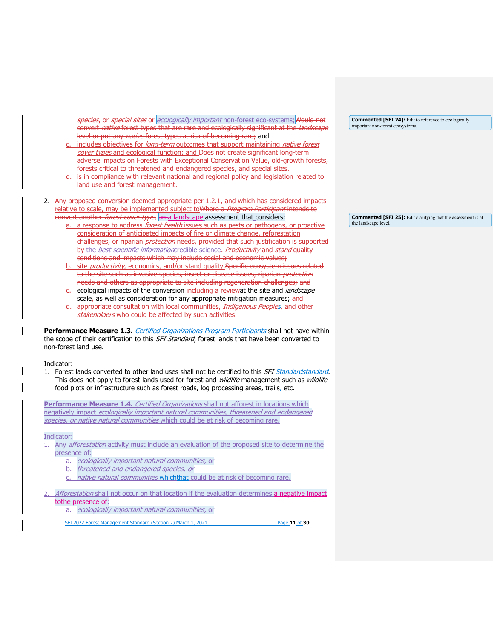species, or special sites or ecologically important non-forest eco-systems; Would not convert *native* forest types that are rare and ecologically significant at the *landscape* level or put any *native* forest types at risk of becoming rare; and

includes objectives for *long-term* outcomes that support maintaining *native forest* cover types and ecological function; and Does not create significant long-term adverse impacts on Forests with Exceptional Conservation Value, old-growth forests, forests critical to threatened and endangered species, and special sites.

- is in compliance with relevant national and regional policy and legislation related to land use and forest management.
- 2. Any proposed conversion deemed appropriate per 1.2.1, and which has considered impacts relative to scale, may be implemented subject to Where a Program Participant intends to convert another *forest cover type*, an a landscape assessment that considers:
	- a. a response to address *forest health* issues such as pests or pathogens, or proactive consideration of anticipated impacts of fire or climate change, reforestation challenges, or riparian *protection* needs, provided that such justification is supported by the *best scientific information*eredible science. Productivity and stand quality conditions and impacts which may include social and economic values;
	- site productivity, economics, and/or stand quality.Specific ecosystem issues related to the site such as invasive species, insect or disease issues, riparian *protection* needs and others as appropriate to site including regeneration challenges; and
	- c. ecological impacts of the conversion including a reviewat the site and *landscape* scale, as well as consideration for any appropriate mitigation measures; and
	- d. appropriate consultation with local communities, Indigenous Peoples, and other stakeholders who could be affected by such activities.

Performance Measure 1.3. *Certified Organizations Program Participants* shall not have within the scope of their certification to this *SFI Standard*, forest lands that have been converted to non-forest land use.

Indicator:

1. Forest lands converted to other land uses shall not be certified to this *SFI Standardstandard*. This does not apply to forest lands used for forest and *wildlife* management such as *wildlife* food plots or infrastructure such as forest roads, log processing areas, trails, etc.

<span id="page-10-0"></span>Performance Measure 1.4. Certified Organizations shall not afforest in locations which negatively impact ecologically important natural communities, threatened and endangered species, or native natural communities which could be at risk of becoming rare.

Indicator:

- 1. Any *afforestation* activity must include an evaluation of the proposed site to determine the presence of:
	- a. ecologically important natural communities, or
	- b. threatened and endangered species, or
	- native natural communities which that could be at risk of becoming rare.

Afforestation shall not occur on that location if the evaluation determines a negative impact tothe presence of:

a. ecologically important natural communities, or

SFI 2022 Forest Management Standard (Section 2) March 1, 2021 Page **11** of **30**

**Commented [SFI 24]:** Edit to reference to ecologically important non-forest ecosystems.

**Commented [SFI 25]:** Edit clarifying that the assessment is at the landscape level.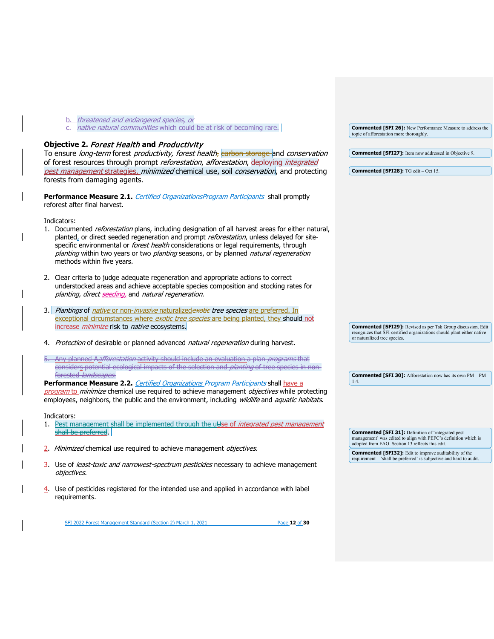<span id="page-11-0"></span>

| b. threatened and endangered species, or                                                                                                                                                                                                                                                                                                                                                                                             |                                                                                                                                                                                      |
|--------------------------------------------------------------------------------------------------------------------------------------------------------------------------------------------------------------------------------------------------------------------------------------------------------------------------------------------------------------------------------------------------------------------------------------|--------------------------------------------------------------------------------------------------------------------------------------------------------------------------------------|
| native natural communities which could be at risk of becoming rare.                                                                                                                                                                                                                                                                                                                                                                  | <b>Commented [SFI 26]:</b> New Performance Measure to address the<br>topic of afforestation more thoroughly.                                                                         |
| Objective 2. Forest Health and Productivity<br>To ensure long-term forest productivity, forest health, earbon storage and conservation<br>of forest resources through prompt reforestation, afforestation, deploying integrated<br>pest management strategies, minimized chemical use, soil conservation, and protecting<br>forests from damaging agents.                                                                            | <b>Commented [SFI27]:</b> Item now addressed in Objective 9.<br>Commented [SFI28]: TG edit - Oct 15.                                                                                 |
| <b>Performance Measure 2.1.</b> Certified OrganizationsProgram Participants shall promptly<br>reforest after final harvest.                                                                                                                                                                                                                                                                                                          |                                                                                                                                                                                      |
| Indicators:<br>1. Documented <i>reforestation</i> plans, including designation of all harvest areas for either natural,<br>planted, or direct seeded regeneration and prompt reforestation, unless delayed for site-<br>specific environmental or forest health considerations or legal requirements, through<br>planting within two years or two planting seasons, or by planned natural regeneration<br>methods within five years. |                                                                                                                                                                                      |
| 2. Clear criteria to judge adequate regeneration and appropriate actions to correct<br>understocked areas and achieve acceptable species composition and stocking rates for<br>planting, direct seeding, and natural regeneration.                                                                                                                                                                                                   |                                                                                                                                                                                      |
| 3. Plantings of native or non-invasive naturalized exotic tree species are preferred. In<br>exceptional circumstances where exotic tree species are being planted, they should not<br>increase <i>minimize</i> -risk to <i>native</i> ecosystems.                                                                                                                                                                                    | <b>Commented [SFI29]:</b> Revised as per Tsk Group discussion. Edit                                                                                                                  |
| 4. Protection of desirable or planned advanced natural regeneration during harvest.                                                                                                                                                                                                                                                                                                                                                  | recognizes that SFI-certified organizations should plant either native<br>or naturalized tree species.                                                                               |
| 5. Any planned Aafforestation activity should include an evaluation a plan programs that<br>considers potential ecological impacts of the selection and <i>planting</i> of tree species in non-<br>forested landscapes.<br>Performance Measure 2.2. Certified Organizations Program Participants shall have a<br>program to minimize chemical use required to achieve management objectives while protecting                         | <b>Commented [SFI 30]:</b> Afforestation now has its own PM - PM<br>1.4.                                                                                                             |
| employees, neighbors, the public and the environment, including wildlife and <i>aquatic habitats</i> .                                                                                                                                                                                                                                                                                                                               |                                                                                                                                                                                      |
| Indicators:<br>Pest management shall be implemented through the u <del>Use</del> of <i>integrated pest management</i><br>1.<br>shall be preferred.                                                                                                                                                                                                                                                                                   | <b>Commented [SFI 31]:</b> Definition of 'integrated pest                                                                                                                            |
| 2. Minimized chemical use required to achieve management objectives.                                                                                                                                                                                                                                                                                                                                                                 | management' was edited to align with PEFC's definition which is<br>adopted from FAO. Section 13 reflects this edit.<br><b>Commented [SFI32]:</b> Edit to improve auditability of the |
| 3. Use of least-toxic and narrowest-spectrum pesticides necessary to achieve management<br><i>objectives.</i>                                                                                                                                                                                                                                                                                                                        | requirement - 'shall be preferred' is subjective and hard to audit.                                                                                                                  |
| Use of pesticides registered for the intended use and applied in accordance with label<br>requirements.                                                                                                                                                                                                                                                                                                                              |                                                                                                                                                                                      |

SFI 2022 Forest Management Standard (Section 2) March 1, 2021 Page 12 of 30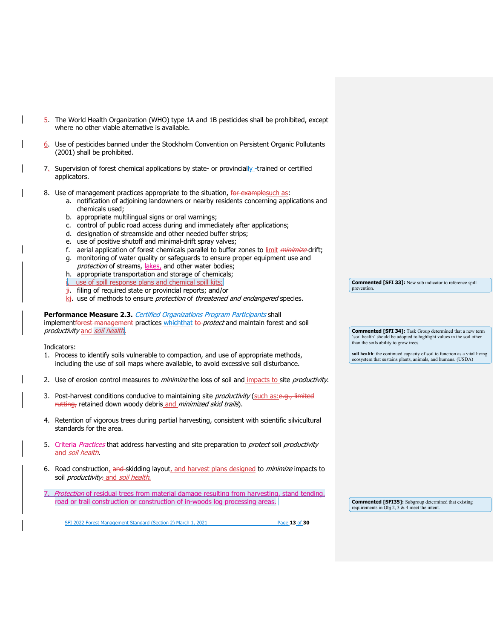- 5. The World Health Organization (WHO) type 1A and 1B pesticides shall be prohibited, except where no other viable alternative is available.
- 6. Use of pesticides banned under the Stockholm Convention on Persistent Organic Pollutants (2001) shall be prohibited.
- $7_{\rm s}$  Supervision of forest chemical applications by state- or provincially-trained or certified applicators.
- 8. Use of management practices appropriate to the situation, for examplesuch as:
	- a. notification of adjoining landowners or nearby residents concerning applications and chemicals used;
	- b. appropriate multilingual signs or oral warnings;
	- c. control of public road access during and immediately after applications;
	- d. designation of streamside and other needed buffer strips;
	- e. use of positive shutoff and minimal-drift spray valves;
	- f. aerial application of forest chemicals parallel to buffer zones to limit *minimize* drift;
	- g. monitoring of water quality or safeguards to ensure proper equipment use and protection of streams, lakes, and other water bodies;
	- h. appropriate transportation and storage of chemicals;
	- i. use of spill response plans and chemical spill kits;
	- $j$ i. filing of required state or provincial reports; and/or
	- $k_i$ . use of methods to ensure *protection* of *threatened and endangered* species.

Performance Measure 2.3. Certified Organizations Program Participants shall implementforest management practices whichthat to protect and maintain forest and soil productivity and soil health.

Indicators:

- 1. Process to identify soils vulnerable to compaction, and use of appropriate methods, including the use of soil maps where available, to avoid excessive soil disturbance.
- 2. Use of erosion control measures to *minimize* the loss of soil and impacts to site *productivity*.
- 3. Post-harvest conditions conducive to maintaining site productivity (such as:e.g., limited rutting, retained down woody debris and minimized skid trails).
- 4. Retention of vigorous trees during partial harvesting, consistent with scientific silvicultural standards for the area.
- 5. Criteria Practices that address harvesting and site preparation to *protect* soil *productivity* and soil health.
- 6. Road construction, and skidding layout, and harvest plans designed to *minimize* impacts to soil *productivity*- and soil health.
- Protection of residual trees from material damage resulting from harvesting, stand tending, road or trail construction or construction of in-woods log processing areas.

**Commented [SFI 33]:** New sub indicator to reference spill prevention

**Commented [SFI 34]:** Task Group determined that a new term 'soil health' should be adopted to highlight values in the soil other than the soils ability to grow trees.

**soil health**: the continued capacity of soil to function as a vital living ecosystem that sustains plants, animals, and humans. (USDA)

**Commented [SFI35]:** Subgroup determined that existing requirements in Obj 2, 3 & 4 meet the intent.

SFI 2022 Forest Management Standard (Section 2) March 1, 2021 Page 13 of 30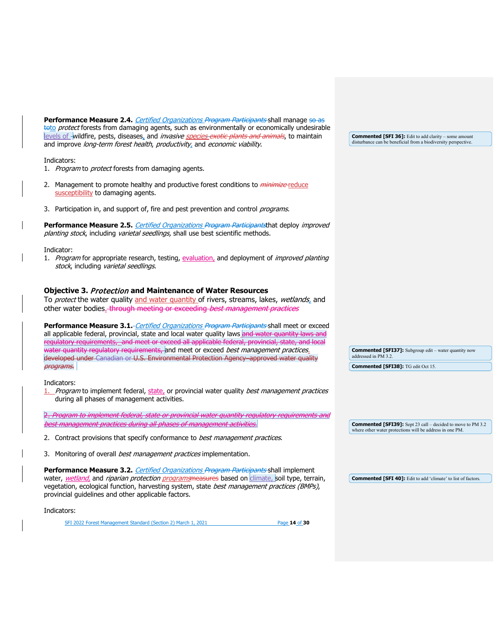Performance Measure 2.4. *Certified Organizations Program Participants* shall manage so as toto *protect* forests from damaging agents, such as environmentally or economically undesirable levels of -wildfire, pests, diseases, and *invasive species exotic plants and animals*, to maintain and improve long-term forest health, productivity, and economic viability.

Indicators:

- 1. Program to protect forests from damaging agents.
- 2. Management to promote healthy and productive forest conditions to *minimize* reduce susceptibility to damaging agents.
- 3. Participation in, and support of, fire and pest prevention and control programs.

Performance Measure 2.5. *Certified Organizations Program Participants*that deploy *improved* planting stock, including varietal seedlings, shall use best scientific methods.

#### Indicator:

1. Program for appropriate research, testing, evaluation, and deployment of *improved planting* stock, including varietal seedlings.

## <span id="page-13-0"></span>**Objective 3.** Protection **[and Maintenance of Water Resources](#page-13-0)**

To *protect* the water quality and water quantity of rivers, streams, lakes, *wetlands*, and other water bodies. through meeting or exceeding best management practices

**Performance Measure 3.1** - Certified Organizations Program Participants shall meet or exceed all applicable federal, provincial, state and local water quality laws and water quantity laws and regulatory requirements, and meet or exceed all applicable federal, provincial, state, and local water quantity regulatory requirements, and meet or exceed *best management practices*. developed under Canadian or U.S. Environmental Protection Agency approved water quality programs.

Indicators:

1. Program to implement federal, state, or provincial water quality best management practices during all phases of management activities.

2. Program to implement federal, state or provincial water quantity regulatory requirements and best management practices during all phases of management activities.

- 2. Contract provisions that specify conformance to best management practices.
- 3. Monitoring of overall *best management practices* implementation.

**Performance Measure 3.2.** Certified Organizations Program Participants shall implement water, *wetland,* and *riparian protection programs*measures based on climate, soil type, terrain, vegetation, ecological function, harvesting system, state best management practices (BMPs), provincial guidelines and other applicable factors.

#### Indicators:

SFI 2022 Forest Management Standard (Section 2) March 1, 2021 Page **14** of **30**

disturbance can be beneficial from a biodiversity perspective.

**Commented [SFI 36]:** Edit to add clarity – some amount

**Commented [SFI37]:** Subgroup edit – water quantity now addressed in PM 3.2. **Commented [SFI38]:** TG edit Oct 15.

**Commented [SFI39]:** Sept 23 call – decided to move to PM 3.2 where other water protections will be address in one PM.

**Commented [SFI 40]:** Edit to add 'climate' to list of factors.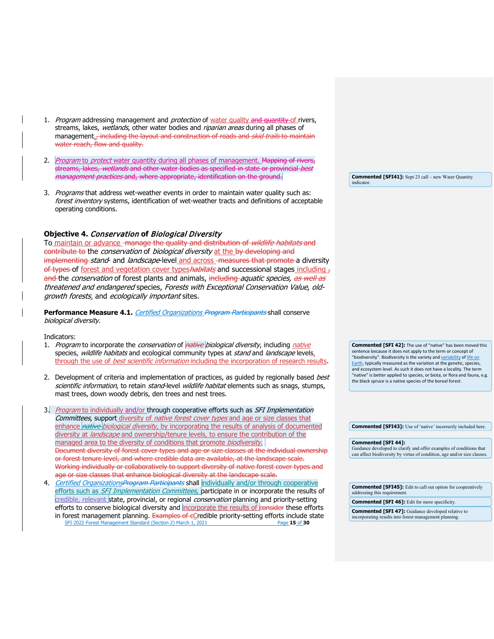- 1. Program addressing management and protection of water quality and quantity of rivers, streams, lakes, wetlands, other water bodies and riparian areas during all phases of management<sub>ar</sub> including the layout and construction of roads and *skid trails* to maintain water reach, flow and quality.
- 2. Program to protect water quantity during all phases of management. Mapping of rivers, streams, lakes, wetlands and other water bodies as specified in state or provincial best management practices and, where appropriate, identification on the ground.
- 3. Programs that address wet-weather events in order to maintain water quality such as: forest inventory systems, identification of wet-weather tracts and definitions of acceptable operating conditions.

## <span id="page-14-0"></span>**Objective 4.** Conservation **of** [Biological Diversity](#page-14-0)

To maintain or advance -manage the quality and distribution of *wildlife habitats* and contribute to the *conservation* of *biological diversity* at the by developing and implementing stand- and landscape-level and across measures that promote a diversity of types of forest and vegetation cover types habitats and successional stages including  $_7$ and the *conservation* of forest plants and animals, including *aquatic species, as well as* threatened and endangered species, Forests with Exceptional Conservation Value, oldgrowth forests, and ecologically important sites.

**Performance Measure 4.1.** *Certified Organizations Program Participants* shall conserve biological diversity.

Indicators:

- 1. Program to incorporate the *conservation* of *native biological diversity*, including *native* species, *wildlife habitats* and ecological community types at *stand* and *landscape* levels, through the use of *best scientific information* including the incorporation of research results.
- 2. Development of criteria and implementation of practices, as guided by regionally based best scientific information, to retain stand-level wildlife habitat elements such as snags, stumps, mast trees, down woody debris, den trees and nest trees.
- 3. Program to individually and/or through cooperative efforts such as SFI Implementation Committees, support diversity of native forest cover types and age or size classes that enhance native biological diversity, by incorporating the results of analysis of documented diversity at *landscape* and ownership/tenure levels, to ensure the contribution of the managed area to the diversity of conditions that promote *biodiversity*. Document diversity of forest cover types and age or size classes at the individual ownership or forest tenure level, and where credible data are available, at the landscape scale. Working individually or collaboratively to support diversity of native forest cover types and age or size classes that enhance biological diversity at the landscape scale.
- SFI 2022 Forest Management Standard (Section 2) March 1, 2021 Page 15<sub>.06</sub> 30 4. Certified OrganizationsProgram Participants shall individually and/or through cooperative efforts such as SFI Implementation Committees, participate in or incorporate the results of credible, relevant state, provincial, or regional *conservation* planning and priority-setting efforts to conserve biological diversity and incorporate the results of eonsider these efforts in forest management planning. Examples of eCredible priority-setting efforts include state

**Commented [SFI41]:** Sept 23 call – new Water Quantity indicator

**Commented [SFI 42]:** The use of "native" has been moved this sentence because it does not apply to the term or concept of "biodiversity". Biodiversity is the variety and [variability](https://en.wikipedia.org/wiki/Genetic_variability) of life on [Earth,](https://en.wikipedia.org/wiki/Life) typically measured as the variation at the genetic, species, and ecosystem level. As such it does not have a locality. The term "native" is better applied to species, or biota, or flora and fauna, e.g. the black spruce is a native species of the boreal forest.

**Commented [SFI43]:** Use of 'native' incorrectly included here.

**Commented [SFI 44]:** 

Guidance developed to clarify and offer examples of conditions that can affect biodiversity by virtue of condition, age and/or size classes.

**Commented [SFI45]:** Edit to call out option for cooperatively addressing this requirement.

**Commented [SFI 46]:** Edit for more specificity.

**Commented [SFI 47]:** Guidance developed relative to incorporating results into forest management planning.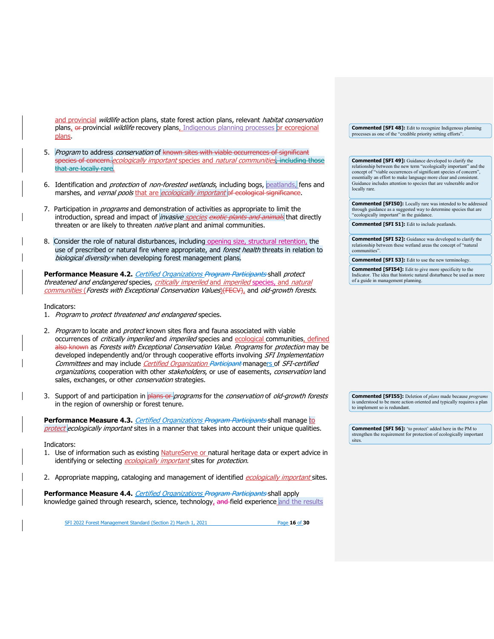and provincial wildlife action plans, state forest action plans, relevant habitat conservation plans, or provincial *wildlife* recovery plans, Indigenous planning processes or ecoregional plans.

- 5. *Program* to address *conservation* of known sites with viable occurrences of significant species of concern. ecologically important species and natural communities, including those that are locally rare.
- 6. Identification and *protection* of *non-forested wetlands*, including bogs, peatlands, fens and marshes, and *vernal pools* that are *ecologically important* of ecological significance.
- 7. Participation in *programs* and demonstration of activities as appropriate to limit the introduction, spread and impact of *invasive species exotic plants and animals* that directly threaten or are likely to threaten *native* plant and animal communities.
- 8. Consider the role of natural disturbances, including opening size, structural retention, the use of prescribed or natural fire where appropriate, and forest health threats in relation to biological diversity when developing forest management plans.

Performance Measure 4.2. *Certified Organizations Program Participants* shall protect threatened and endangered species, critically imperiled and imperiled species, and natural communities (Forests with Exceptional Conservation Values) (FECV), and old-growth forests.

Indicators:

- 1. Program to protect threatened and endangered species.
- 2. Program to locate and protect known sites flora and fauna associated with viable occurrences of critically imperiled and imperiled species and ecological communities, defined also known as Forests with Exceptional Conservation Value. Programs for protection may be developed independently and/or through cooperative efforts involving SFI Implementation Committees and may include Certified Organization Participant managers of SFI-certified organizations, cooperation with other stakeholders, or use of easements, conservation land sales, exchanges, or other *conservation* strategies.
- 3. Support of and participation in plans or programs for the conservation of old-growth forests in the region of ownership or forest tenure.

**Performance Measure 4.3.** *Certified Organizations Program Participants* shall manage to protect ecologically important sites in a manner that takes into account their unique qualities.

#### Indicators:

- 1. Use of information such as existing NatureServe or natural heritage data or expert advice in identifying or selecting ecologically important sites for protection.
- 2. Appropriate mapping, cataloging and management of identified ecologically important sites.

Performance Measure 4.4. *Certified Organizations Program Participants* shall apply knowledge gained through research, science, technology, and field experience and the results

SFI 2022 Forest Management Standard (Section 2) March 1, 2021 Page **16** of **30**

**Commented [SFI 48]:** Edit to recognize Indigenous planning processes as one of the "credible priority setting efforts".

**Commented [SFI 49]:** Guidance developed to clarify the relationship between the new term "ecologically important" and the concept of "viable occurrences of significant species of concern", essentially an effort to make language more clear and consistent. Guidance includes attention to species that are vulnerable and/or locally rare.

**Commented [SFI50]:** Locally rare was intended to be addressed through guidance as a suggested way to determine species that are "ecologically important" in the guidance.

**Commented [SFI 51]:** Edit to include peatlands.

**Commented [SFI 52]:** Guidance was developed to clarify the relationship between these wetland areas the concept of "natural communities".

**Commented [SFI 53]:** Edit to use the new terminology.

**Commented [SFI54]:** Edit to give more specificity to the Indicator. The idea that historic natural disturbance be used as more of a guide in management planning.

**Commented [SFI55]:** Deletion of *plans* made because *programs* is understood to be more action oriented and typically requires a plan to implement so is redundant.

**Commented [SFI 56]:** 'to protect' added here in the PM to strengthen the requirement for protection of ecologically important sites.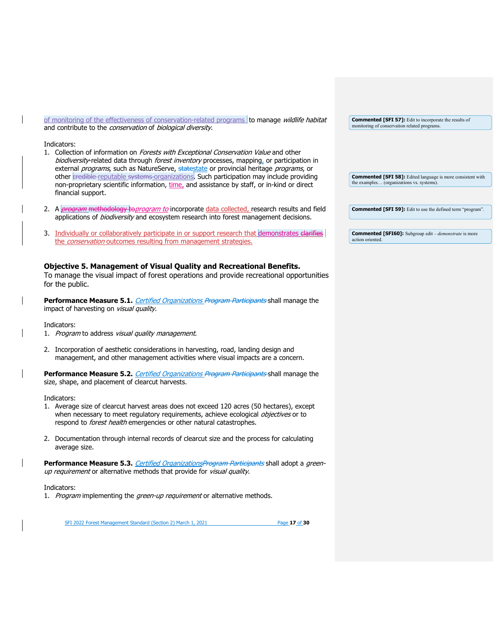of monitoring of the effectiveness of conservation-related programs to manage wildlife habitat and contribute to the *conservation* of *biological diversity*.

Indicators:

- 1. Collection of information on Forests with Exceptional Conservation Value and other biodiversity-related data through forest inventory processes, mapping, or participation in external programs, such as NatureServe, statestate or provincial heritage programs, or other credible-reputable systems organizations. Such participation may include providing non-proprietary scientific information, time, and assistance by staff, or in-kind or direct financial support.
- 2. A *program* methodology to *program to* incorporate data collected, research results and field applications of *biodiversity* and ecosystem research into forest management decisions.
- 3. Individually or collaboratively participate in or support research that demonstrates clarifies the *conservation* outcomes resulting from management strategies.

# <span id="page-16-0"></span>**Objective 5. Management of Visual Quality and Recreational Benefits.**

To manage the visual impact of forest operations and provide recreational opportunities for the public.

**Performance Measure 5.1.** Certified Organizations Program Participants shall manage the impact of harvesting on visual quality.

Indicators:

- 1. Program to address visual quality management.
- 2. Incorporation of aesthetic considerations in harvesting, road, landing design and management, and other management activities where visual impacts are a concern.

**Performance Measure 5.2.** Certified Organizations Program Participants shall manage the size, shape, and placement of clearcut harvests.

Indicators:

- 1. Average size of clearcut harvest areas does not exceed 120 acres (50 hectares), except when necessary to meet regulatory requirements, achieve ecological objectives or to respond to *forest health* emergencies or other natural catastrophes.
- 2. Documentation through internal records of clearcut size and the process for calculating average size.

Performance Measure 5.3. *Certified OrganizationsProgram Participants* shall adopt a greenup requirement or alternative methods that provide for visual quality.

#### Indicators:

1. Program implementing the green-up requirement or alternative methods.

SFI 2022 Forest Management Standard (Section 2) March 1, 2021 Page **17** of **30**

**Commented [SFI 57]:** Edit to incorporate the results of monitoring of conservation related programs.

**Commented [SFI 58]:** Edited language is more consistent with the examples… (organizations vs. systems).

**Commented [SFI 59]:** Edit to use the defined term "program".

**Commented [SFI60]:** Subgroup edit – *demonstrate* is more action oriented.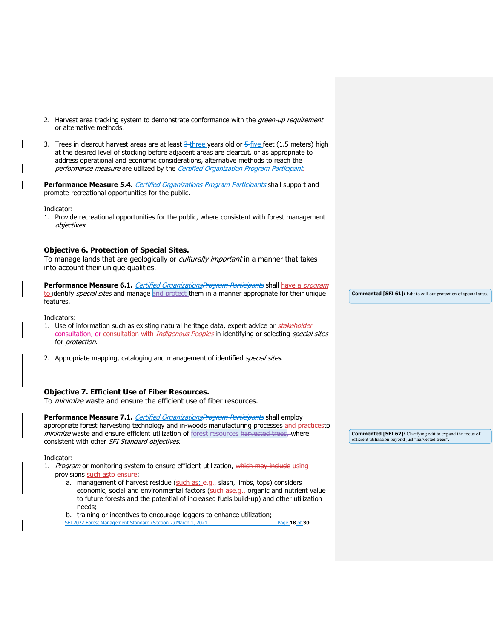2. Harvest area tracking system to demonstrate conformance with the green-up requirement or alternative methods. 3. Trees in clearcut harvest areas are at least  $3$ -three years old or  $5$ -five feet (1.5 meters) high at the desired level of stocking before adjacent areas are clearcut, or as appropriate to address operational and economic considerations, alternative methods to reach the performance measure are utilized by the\_Certified Organization Program Participant. Performance Measure 5.4. *Certified Organizations Program Participants* shall support and promote recreational opportunities for the public. Indicator: 1. Provide recreational opportunities for the public, where consistent with forest management objectives. **Objective 6. Protection of Special Sites.**  To manage lands that are geologically or *culturally important* in a manner that takes into account their unique qualities. Performance Measure 6.1. *Certified OrganizationsProgram Participant*s shall have a *program* to identify special sites and manage and protect them in a manner appropriate for their unique features. **Commented [SFI 61]:** Edit to call out protection of special sites.

<span id="page-17-2"></span><span id="page-17-0"></span>Indicators:

- 1. Use of information such as existing natural heritage data, expert advice or *stakeholder* consultation, or consultation with *Indigenous Peoples* in identifying or selecting *special sites* for *protection*.
- 2. Appropriate mapping, cataloging and management of identified *special sites*.

## <span id="page-17-1"></span>**Objective 7. Efficient Use of Fiber Resources.**

To *minimize* waste and ensure the efficient use of fiber resources.

**Performance Measure 7.1.** *Certified OrganizationsProgram Participants* shall employ appropriate forest harvesting technology and in-woods manufacturing processes and practicesto minimize waste and ensure efficient utilization of **forest resources** harvested trees, where consistent with other SFI Standard objectives.

#### Indicator:

- 1. Program or monitoring system to ensure efficient utilization, which may include using provisions such asto ensure:
	- a. management of harvest residue (such as: e.g., slash, limbs, tops) considers economic, social and environmental factors (such ase.g., organic and nutrient value to future forests and the potential of increased fuels build-up) and other utilization needs;
	- b. training or incentives to encourage loggers to enhance utilization;

SFI 2022 Forest Management Standard (Section 2) March 1, 2021 Page **18** of **30**

**Commented [SFI 62]:** Clarifying edit to expand the focus of efficient utilization beyond just "harvested trees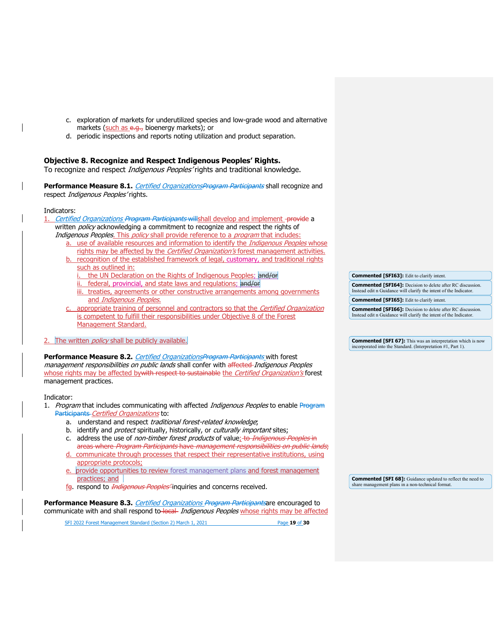- c. exploration of markets for underutilized species and low-grade wood and alternative markets (such as e.g., bioenergy markets); or
- d. periodic inspections and reports noting utilization and product separation.

# <span id="page-18-0"></span>**Objective 8. Recognize and Respect Indigenous Peoples' Rights.**

To recognize and respect *Indigenous Peoples'* rights and traditional knowledge.

Performance Measure 8.1. *Certified OrganizationsProgram Participants* shall recognize and respect Indigenous Peoples' rights.

#### Indicators:

1. Certified Organizations Program Participants will shall develop and implement -provide a written *policy* acknowledging a commitment to recognize and respect the rights of Indigenous Peoples. This policy shall provide reference to a program that includes:

- a. use of available resources and information to identify the *Indigenous Peoples* whose rights may be affected by the *Certified Organization's* forest management activities.
- recognition of the established framework of legal, customary, and traditional rights such as outlined in:
	- the UN Declaration on the Rights of Indigenous Peoples; and/or
	- ii. federal, provincial, and state laws and regulations; and/or
	- iii. treaties, agreements or other constructive arrangements among governments and Indigenous Peoples.
- appropriate training of personnel and contractors so that the Certified Organization is competent to fulfill their responsibilities under Objective 8 of the Forest Management Standard.
- 2. The written *policy* shall be publicly available.

Performance Measure 8.2. *Certified OrganizationsProgram Participants* with forest management responsibilities on public lands shall confer with affected-Indigenous Peoples whose rights may be affected by with respect to sustainable the Certified Organization's forest management practices.

#### Indicator:

- 1. Program that includes communicating with affected *Indigenous Peoples* to enable Program Participants Certified Organizations to:
	- a. understand and respect traditional forest-related knowledge;
	- b. identify and *protect* spiritually, historically, or *culturally important* sites;
	- c. address the use of non-timber forest products of value<sub>i</sub> to *Indigenous Peoples* in a<del>reas where *Program Participants* have *management responsibilities on public lands*;</del>
	- d. communicate through processes that respect their representative institutions, using appropriate protocols;
	- provide opportunities to review forest management plans and forest management practices; and
	- fg. respond to *Indigenous Peoples*<sup>2</sup> inquiries and concerns received.

**Performance Measure 8.3.** Certified Organizations Program Participantsare encouraged to communicate with and shall respond to-local Indigenous Peoples whose rights may be affected

SFI 2022 Forest Management Standard (Section 2) March 1, 2021 Page **19** of **30**

**Commented [SFI63]:** Edit to clarify intent.

**Commented [SFI64]:** Decision to delete after RC discussion. Instead edit n Guidance will clarify the intent of the Indicator.

**Commented [SFI65]:** Edit to clarify intent.

**Commented [SFI66]:** Decision to delete after RC discussion. Instead edit n Guidance will clarify the intent of the Indicator.

**Commented [SFI 67]:** This was an interpretation which is now incorporated into the Standard. (Interpretation #1, Part 1).

**Commented [SFI 68]:** Guidance updated to reflect the need to share management plans in a non-technical format.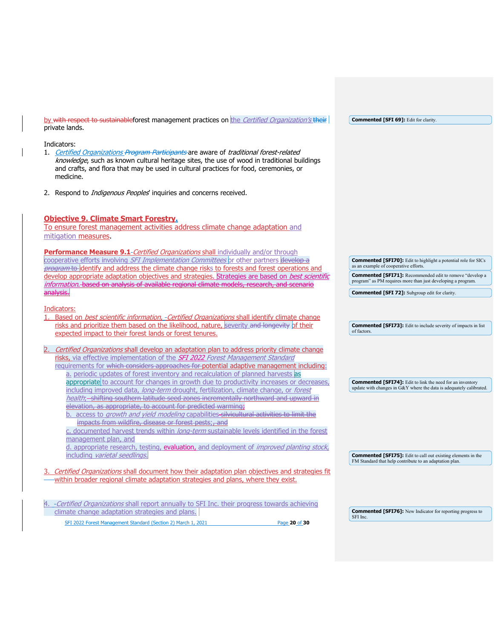by with respect to sustainableforest management practices on the Certified Organization's their private lands.

#### Indicators:

- 1. Certified Organizations Program Participants are aware of traditional forest-related knowledge, such as known cultural heritage sites, the use of wood in traditional buildings and crafts, and flora that may be used in cultural practices for food, ceremonies, or medicine.
- 2. Respond to *Indigenous Peoples'* inquiries and concerns received.

# <span id="page-19-0"></span>**Objective 9. Climate Smart Forestry.**

To ensure forest management activities address climate change adaptation and mitigation measures.

**Performance Measure 9.1-Certified Organizations shall individually and/or through** cooperative efforts involving *SFI Implementation Committees* or other partners develop a program to identify and address the climate change risks to forests and forest operations and develop appropriate adaptation objectives and strategies. Strategies are based on *best scientific* information. based on analysis of available regional climate models, research, and scenario analysis.

Indicators:

- 1. Based on *best scientific information, -Certified Organizations* shall identify climate change risks and prioritize them based on the likelihood, nature, severity and longevity of their expected impact to their forest lands or forest tenures.
- Certified Organizations shall develop an adaptation plan to address priority climate change risks, via effective implementation of the *SFI 2022 Forest Management Standard* requirements for which considers approaches for potential adaptive management including: a. periodic updates of forest inventory and recalculation of planned harvests as appropriate to account for changes in growth due to productivity increases or decreases including improved data, long-term drought, fertilization, climate change, or forest health; - shifting southern latitude seed zones incrementally northward and upward in elevation, as appropriate, to account for predicted warming; b. access to growth and yield modeling capabilities-silvicultural activities to limit the
	- impacts from wildfire, disease or forest pests;, and c. documented harvest trends within *long-term* sustainable levels identified in the forest management plan, and

d. appropriate research, testing, evaluation, and deployment of *improved planting stock*, including varietal seedlings.

Certified Organizations shall document how their adaptation plan objectives and strategies fit within broader regional climate adaptation strategies and plans, where they exist.

SFI 2022 Forest Management Standard (Section 2) March 1, 2021 Page **20** of **30** 4. - Certified Organizations shall report annually to SFI Inc. their progress towards achieving climate change adaptation strategies and plans. SFI Inc.

**Commented [SFI76]:** New Indicator for reporting progress to

**Commented [SFI75]:** Edit to call out existing elements in the FM Standard that help contribute to an adaptation plan.

as an example of cooperative efforts. **Commented [SFI71]:** Recommended edit to remove "develop a program" as PM requires more than just developing a program. **Commented [SFI 72]:** Subgroup edit for clarity.

**Commented [SFI70]:** Edit to highlight a potential role for SICs

**Commented [SFI73]:** Edit to include severity of impacts in list of factors.

**Commented [SFI74]:** Edit to link the need for an inventory update with changes in G&Y where the data is adequately calibrated.

**Commented [SFI 69]:** Edit for clarity.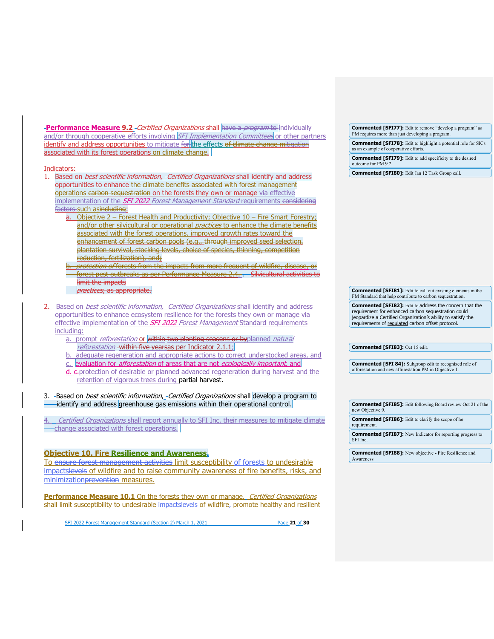**Performance Measure 9.2** - Certified Organizations shall have a *program* to individually and/or through cooperative efforts involving SFI Implementation Committees or other partners identify and address opportunities to mitigate for the effects of climate change mitigation associated with its forest operations on climate change.

#### Indicators:

- Based on *best scientific information, -Certified Organizations* shall identify and address opportunities to enhance the climate benefits associated with forest management operations carbon sequestration on the forests they own or manage via effective implementation of the **SFI 2022** Forest Management Standard requirements considering factors such asincluding:
	- a. Objective 2 Forest Health and Productivity; Objective 10 Fire Smart Forestry; and/or other silvicultural or operational practices to enhance the climate benefits associated with the forest operations. improved growth rates toward the enhancement of forest carbon pools (e.g., through improved seed selection, plantation survival, stocking levels, choice of species, thinning, competition reduction, fertilization), and;
	- protection of forests from the impacts from more frequent of wildfire, disease, or forest pest outbreaks as per Performance Measure 2.4. . Silvicultural activities to limit the impacts practices, as appropriate.
- 2. Based on *best scientific information, Certified Organizations* shall identify and address opportunities to enhance ecosystem resilience for the forests they own or manage via effective implementation of the **SFI 2022** Forest Management Standard requirements including:
	- a. prompt *reforestation* or within two planting seasons or byplanned *natural* reforestation within five yearsas per Indicator 2.1.1;
	- adequate regeneration and appropriate actions to correct understocked areas, and
	- c. evaluation for *afforestation* of areas that are not ecologically important, and
	- d. e-protection of desirable or planned advanced regeneration during harvest and the retention of vigorous trees during partial harvest.

3. -Based on *best scientific information, -Certified Organizations* shall develop a program to identify and address greenhouse gas emissions within their operational control.

Certified Organizations shall report annually to SFI Inc. their measures to mitigate climate change associated with forest operations.

# <span id="page-20-0"></span>**Objective 10. Fire Resilience and Awareness.**

To ensure forest management activities limit susceptibility of forests to undesirable impactslevels of wildfire and to raise community awareness of fire benefits, risks, and minimizationprevention measures.

**Performance Measure 10.1** On the forests they own or manage, Certified Organizations shall limit susceptibility to undesirable impactslevels of wildfire, promote healthy and resilient

SFI 2022 Forest Management Standard (Section 2) March 1, 2021 Page **21** of **30**

**Commented [SFI77]:** Edit to remove "develop a program" as PM requires more than just developing a program

**Commented [SFI78]:** Edit to highlight a potential role for SICs as an example of cooperative efforts.

**Commented [SFI79]:** Edit to add specificity to the desired outcome for PM 9.2.

**Commented [SFI80]:** Edit Jan 12 Task Group call.

**Commented [SFI81]:** Edit to call out existing elements in the FM Standard that help contribute to carbon sequestration.

**Commented [SFI82]:** Edit to address the concern that the requirement for enhanced carbon sequestration could jeopardize a Certified Organization's ability to satisfy the requirements of regulated carbon offset protocol.

**Commented [SFI83]:** Oct 15 edit.

**Commented [SFI 84]:** Subgroup edit to recognized role of afforestation and new afforestation PM in Objective 1.

**Commented [SFI85]:** Edit following Board review Oct 21 of the new Objective 9 **Commented [SFI86]:** Edit to clarify the scope of he requirement **Commented [SFI87]:** New Indicator for reporting progress to SFI Inc.

**Commented [SFI88]:** New objective - Fire Resilience and **Awarenes**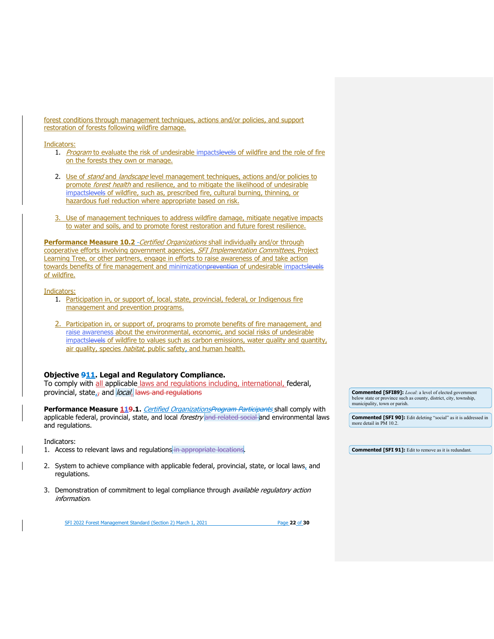forest conditions through management techniques, actions and/or policies, and support restoration of forests following wildfire damage.

#### Indicators:

- 1. Program to evaluate the risk of undesirable impactslevels of wildfire and the role of fire on the forests they own or manage.
- 2. Use of *stand* and *landscape* level management techniques, actions and/or policies to promote forest health and resilience, and to mitigate the likelihood of undesirable impactslevels of wildfire, such as, prescribed fire, cultural burning, thinning, or hazardous fuel reduction where appropriate based on risk.
- 3. Use of management techniques to address wildfire damage, mitigate negative impacts to water and soils, and to promote forest restoration and future forest resilience.

**Performance Measure 10.2** - Certified Organizations shall individually and/or through cooperative efforts involving government agencies, SFI Implementation Committees, Project Learning Tree, or other partners, engage in efforts to raise awareness of and take action towards benefits of fire management and minimizationprevention of undesirable impactslevels of wildfire.

Indicators:

- 1. Participation in, or support of, local, state, provincial, federal, or Indigenous fire management and prevention programs.
- 2. Participation in, or support of, programs to promote benefits of fire management, and raise awareness about the environmental, economic, and social risks of undesirable impactslevels of wildfire to values such as carbon emissions, water quality and quantity, air quality, species *habitat*, public safety, and human health.

# <span id="page-21-0"></span>**Objective 911. Legal and Regulatory Compliance.**

To comply with all applicable laws and regulations including, international, federal, provincial, state, $\tau$  and *local*. Haws and regulations

Performance Measure 119.1. Certified OrganizationsProgram Participants shall comply with applicable federal, provincial, state, and local *forestry* and related social and environmental laws and regulations.

Indicators:

- 1. Access to relevant laws and regulations in appropriate locations.
- 2. System to achieve compliance with applicable federal, provincial, state, or local laws, and regulations.
- 3. Demonstration of commitment to legal compliance through *available regulatory action* information.

SFI 2022 Forest Management Standard (Section 2) March 1, 2021 Page **22** of **30**

**Commented [SFI89]:** *Local*: a level of elected government below state or province such as county, district, city, township, municipality, town or parish.

**Commented [SFI 90]:** Edit deleting "social" as it is addressed in more detail in PM 10.2.

**Commented [SFI 91]:** Edit to remove as it is redundant.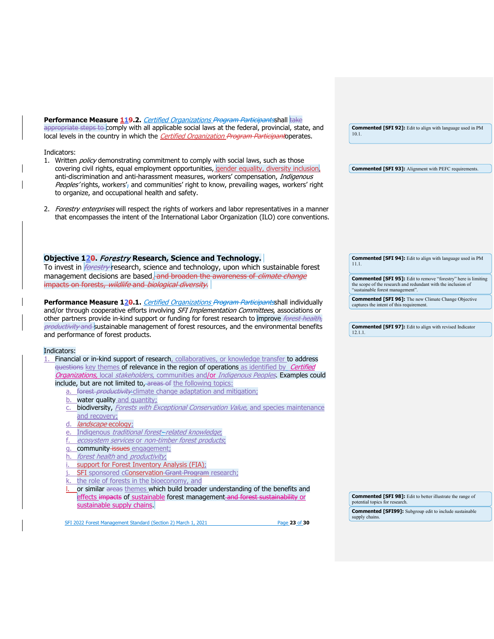| Performance Measure 119.2. Certified Organizations Program Participantsshall take                                                                           |                                                                                                         |
|-------------------------------------------------------------------------------------------------------------------------------------------------------------|---------------------------------------------------------------------------------------------------------|
| appropriate steps to comply with all applicable social laws at the federal, provincial, state, and                                                          | <b>Commented [SFI 92]:</b> Edit to align with language used in PM                                       |
| local levels in the country in which the <i>Certified Organization Program Participant</i> operates.                                                        | 10.1.                                                                                                   |
|                                                                                                                                                             |                                                                                                         |
| Indicators:                                                                                                                                                 |                                                                                                         |
| 1. Written <i>policy</i> demonstrating commitment to comply with social laws, such as those                                                                 |                                                                                                         |
| covering civil rights, equal employment opportunities, gender equality, diversity inclusion,                                                                | <b>Commented [SFI 93]:</b> Alignment with PEFC requirements.                                            |
| anti-discrimination and anti-harassment measures, workers' compensation, Indigenous                                                                         |                                                                                                         |
| Peoples' rights, workers', and communities' right to know, prevailing wages, workers' right                                                                 |                                                                                                         |
| to organize, and occupational health and safety.                                                                                                            |                                                                                                         |
| 2. <i>Forestry enterprises</i> will respect the rights of workers and labor representatives in a manner                                                     |                                                                                                         |
| that encompasses the intent of the International Labor Organization (ILO) core conventions.                                                                 |                                                                                                         |
|                                                                                                                                                             |                                                                                                         |
|                                                                                                                                                             |                                                                                                         |
|                                                                                                                                                             |                                                                                                         |
|                                                                                                                                                             |                                                                                                         |
| Objective 120. Forestry Research, Science and Technology.                                                                                                   | <b>Commented [SFI 94]:</b> Edit to align with language used in PM                                       |
| To invest in <i>forestry</i> research, science and technology, upon which sustainable forest                                                                | 11.1.                                                                                                   |
| management decisions are based. and broaden the awareness of climate change                                                                                 | <b>Commented [SFI 95]:</b> Edit to remove "forestry" here is limiting                                   |
| impacts on forests, wildlife and biological diversity.                                                                                                      | the scope of the research and redundant with the inclusion of                                           |
|                                                                                                                                                             | "sustainable forest management".                                                                        |
| Performance Measure 120.1. Certified Organizations Program Participantsshall individually                                                                   | <b>Commented [SFI 96]:</b> The new Climate Change Objective<br>captures the intent of this requirement. |
| and/or through cooperative efforts involving SFI Implementation Committees, associations or                                                                 |                                                                                                         |
| other partners provide in-kind support or funding for forest research to improve <i>forest health</i> ,                                                     |                                                                                                         |
| productivity and sustainable management of forest resources, and the environmental benefits                                                                 | <b>Commented [SFI 97]:</b> Edit to align with revised Indicator                                         |
| and performance of forest products.                                                                                                                         | 12.1.1.                                                                                                 |
|                                                                                                                                                             |                                                                                                         |
| Indicators:                                                                                                                                                 |                                                                                                         |
| Financial or in-kind support of research, collaboratives, or knowledge transfer to address<br>1.                                                            |                                                                                                         |
| questions key themes of relevance in the region of operations as identified by Certified                                                                    |                                                                                                         |
| Organizations, local stakeholders, communities and/or Indigenous Peoples. Examples could<br>include, but are not limited to, areas of the following topics: |                                                                                                         |
| a. forest <i>productivity</i> climate change adaptation and mitigation;                                                                                     |                                                                                                         |
| b. water quality and quantity;                                                                                                                              |                                                                                                         |
| c. biodiversity, Forests with Exceptional Conservation Value, and species maintenance                                                                       |                                                                                                         |
| and recovery;                                                                                                                                               |                                                                                                         |
| <i>landscape</i> ecology:<br>d.                                                                                                                             |                                                                                                         |
| e. Indigenous traditional forest-related knowledge,                                                                                                         |                                                                                                         |
| ecosystem services or non-timber forest products,                                                                                                           |                                                                                                         |
| g. community-issues engagement;                                                                                                                             |                                                                                                         |
| h. forest health and productivity,                                                                                                                          |                                                                                                         |
| support for Forest Inventory Analysis (FIA);                                                                                                                |                                                                                                         |
|                                                                                                                                                             |                                                                                                         |
|                                                                                                                                                             |                                                                                                         |
| SFI sponsored cConservation-Grant Program research;                                                                                                         |                                                                                                         |
| the role of forests in the bioeconomy, and                                                                                                                  |                                                                                                         |
| or similar areas themes which build broader understanding of the benefits and                                                                               |                                                                                                         |
| effects impacts of sustainable forest management and forest sustainability or                                                                               | <b>Commented [SFI 98]:</b> Edit to better illustrate the range of<br>potential topics for research.     |
| sustainable supply chains.                                                                                                                                  |                                                                                                         |
| SFI 2022 Forest Management Standard (Section 2) March 1, 2021<br>Page 23 of 30                                                                              | <b>Commented [SFI99]:</b> Subgroup edit to include sustainable<br>supply chains.                        |

<span id="page-22-0"></span> $\overline{1}$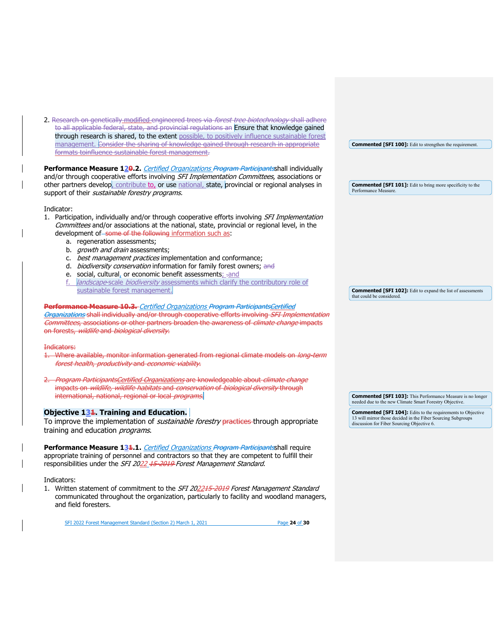2. Research on genetically modified engineered trees via forest tree biotechnology shall adhere to all applicable federal, state, and provincial regulations an Ensure that knowledge gained through research is shared, to the extent possible, to positively influence sustainable forest management. Consider the sharing of knowledge gained through research in appropriate formats toinfluence sustainable forest management.

Performance Measure 120.2. *Certified Organizations Program Participants*shall individually and/or through cooperative efforts involving SFI Implementation Committees, associations or other partners develop, contribute to, or use national, state, provincial or regional analyses in support of their *sustainable forestry programs.* 

Indicator:

- 1. Participation, individually and/or through cooperative efforts involving SFI Implementation Committees and/or associations at the national, state, provincial or regional level, in the development of some of the following information such as:
	- a. regeneration assessments;
	- b. *growth and drain* assessments;
	- c. *best management practices* implementation and conformance;
	- d. *biodiversity conservation* information for family forest owners; and
	- e. social, cultural, or economic benefit assessments; rand
	- f. *landscape-scale biodiversity* assessments which clarify the contributory role of sustainable forest management.

**Performance Measure 10.3.** Certified Organizations Program ParticipantsCertified Organizations shall individually and/or through cooperative efforts involving SFI Implementation Committees, associations or other partners broaden the awareness of climate change impacts on forests, wildlife and biological diversity.

#### Indicators:

- 1. Where available, monitor information generated from regional climate models on long term forest health, productivity and economic viability.
- Program ParticipantsCertified Organizations are knowledgeable about climate change impacts on *wildlife, wildlife habitats* and *conservation* of *biological diversity* through international, national, regional or local programs.

## <span id="page-23-0"></span>**Objective 131. Training and Education.**

To improve the implementation of *sustainable forestry* practices through appropriate training and education *programs*.

Performance Measure 13<sup>1</sup>.1. *Certified Organizations Program Participants*shall require appropriate training of personnel and contractors so that they are competent to fulfill their responsibilities under the SFI 2022 15-2019 Forest Management Standard.

#### Indicators:

1. Written statement of commitment to the SFI 202245-2019 Forest Management Standard communicated throughout the organization, particularly to facility and woodland managers, and field foresters.

SFI 2022 Forest Management Standard (Section 2) March 1, 2021 Page **24** of **30**

**Commented [SFI 100]:** Edit to strengthen the requirement.

**Commented [SFI 101]:** Edit to bring more specificity to the Performance Measure.

**Commented [SFI 102]:** Edit to expand the list of assessments that could be considered.

**Commented [SFI 103]:** This Performance Measure is no longer needed due to the new Climate Smart Forestry Objective.

**Commented [SFI 104]:** Edits to the requirements to Objective 13 will mirror those decided in the Fiber Sourcing Subgroups discussion for Fiber Sourcing Objective 6.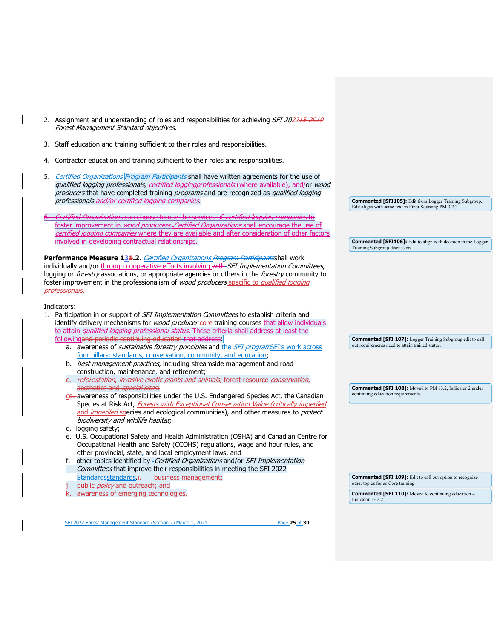| 2. Assignment and understanding of roles and responsibilities for achieving SFI 202215 2019<br>Forest Management Standard objectives.                                                                                                                                                                                                                                                                 |                                                                                                                      |
|-------------------------------------------------------------------------------------------------------------------------------------------------------------------------------------------------------------------------------------------------------------------------------------------------------------------------------------------------------------------------------------------------------|----------------------------------------------------------------------------------------------------------------------|
| 3. Staff education and training sufficient to their roles and responsibilities.                                                                                                                                                                                                                                                                                                                       |                                                                                                                      |
| Contractor education and training sufficient to their roles and responsibilities.<br>4.                                                                                                                                                                                                                                                                                                               |                                                                                                                      |
| Certified Organizations Program Participants shall have written agreements for the use of<br>5.<br>qualified logging professionals, certified loggingprofessionals (where available), and/or wood<br>producers that have completed training programs and are recognized as qualified logging<br>professionals_and/or_certified_logging_companies_                                                     | <b>Commented [SFI105]:</b> Edit from Logger Training Subgroup.                                                       |
|                                                                                                                                                                                                                                                                                                                                                                                                       | Edit aligns with same text in Fiber Sourcing PM 3.2.2.                                                               |
| Certified Organizations can choose to use the services of certified logging companies to<br>foster improvement in <i>wood producers. Certified Organizations</i> shall encourage the use of<br>certified logging companies where they are available and after consideration of other factors                                                                                                          |                                                                                                                      |
| involved in developing contractual relationships.                                                                                                                                                                                                                                                                                                                                                     | <b>Commented [SFI106]:</b> Edit to align with decision in the Logger<br>Training Subgroup discussion.                |
| Performance Measure 131.2. Certified Organizations Program Participantsshall work<br>individually and/or through cooperative efforts involving with SFI Implementation Committees,<br>logging or forestry associations, or appropriate agencies or others in the forestry community to<br>foster improvement in the professionalism of wood producers specific to qualified logging<br>professionals. |                                                                                                                      |
| Indicators:<br>1. Participation in or support of SFI Implementation Committees to establish criteria and<br>identify delivery mechanisms for <i>wood producer</i> core training courses that allow individuals<br>to attain qualified logging professional status. These criteria shall address at least the                                                                                          |                                                                                                                      |
| followingand periodic continuing education that address                                                                                                                                                                                                                                                                                                                                               | <b>Commented [SFI 107]:</b> Logger Training Subgroup edit to call<br>out requirements need to attain trained status. |
| a. awareness of <i>sustainable forestry principles</i> and the <i>SFI program</i> SFI's work across<br>four pillars: standards, conservation, community, and education;                                                                                                                                                                                                                               |                                                                                                                      |
| b. best management practices, including streamside management and road<br>construction, maintenance, and retirement;                                                                                                                                                                                                                                                                                  |                                                                                                                      |
| e. reforestation, invasive exotic plants and animals, forest resource conservation,<br>aesthetics and special sites,                                                                                                                                                                                                                                                                                  | <b>Commented [SFI 108]:</b> Moved to PM 13.2, Indicator 2 under                                                      |
| cd. awareness of responsibilities under the U.S. Endangered Species Act, the Canadian<br>Species at Risk Act, Forests with Exceptional Conservation Value (critically imperiled<br>and <i>imperiled</i> species and ecological communities), and other measures to <i>protect</i><br>biodiversity and wildlife habitat;                                                                               | continuing education requirements.                                                                                   |
| d. logging safety;<br>e. U.S. Occupational Safety and Health Administration (OSHA) and Canadian Centre for                                                                                                                                                                                                                                                                                            |                                                                                                                      |
| Occupational Health and Safety (CCOHS) regulations, wage and hour rules, and<br>other provincial, state, and local employment laws, and<br>other topics identified by - Certified Organizations and/or SFI Implementation<br>f.                                                                                                                                                                       |                                                                                                                      |
| Committees that improve their responsibilities in meeting the SFI 2022<br>Standardsstandards i. business management;                                                                                                                                                                                                                                                                                  | <b>Commented [SFI 109]:</b> Edit to call out option to recognize<br>other topics for as Core training.               |
| public policy and outreach; and<br>awareness of emerging technologies.                                                                                                                                                                                                                                                                                                                                | <b>Commented [SFI 110]:</b> Moved to continuing education -                                                          |
|                                                                                                                                                                                                                                                                                                                                                                                                       | Indicator 13.2.2                                                                                                     |

SFI 2022 Forest Management Standard (Section 2) March 1, 2021 Page 25 of 30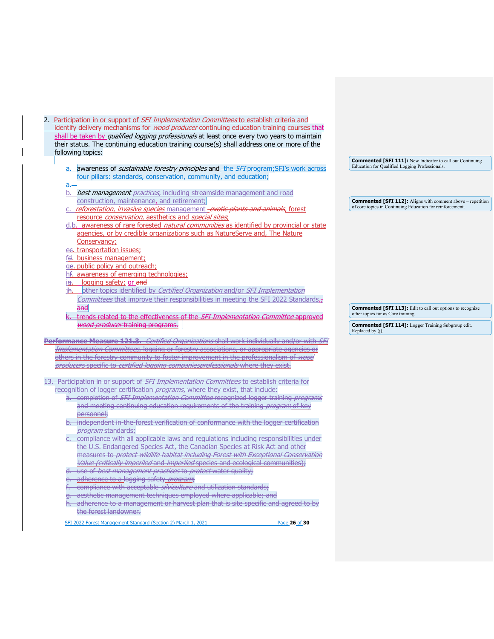| 2. Participation in or support of <i>SFI Implementation Committees</i> to establish criteria and   |
|----------------------------------------------------------------------------------------------------|
| identify delivery mechanisms for <i>wood producer</i> continuing education training courses that   |
| shall be taken by <i>qualified logging professionals</i> at least once every two years to maintain |
| their status. The continuing education training course(s) shall address one or more of the         |
| following topics:                                                                                  |
|                                                                                                    |
| quigranges of sustainable forests uninsinlessed the CEI program CEI's work associ-                 |

- awareness of *sustainable forestry principles* and\_<del>the *SFI* program;</del>SFI's work acro four pillars: standards, conservation, community, and education;
- b. best management practices, including streamside management and road construction, maintenance, and retirement;
- reforestation, invasive species management -exotic plants and animals, forest resource conservation, aesthetics and special sites;
- d.b. awareness of rare forested *natural communities* as identified by provincial or state agencies, or by credible organizations such as NatureServe and-The Nature Conservancy;
- ee. transportation issues;

a.

- fd. business management;
- ge. public policy and outreach;
- hf. awareness of emerging technologies;

wood producer training programs.

- ig. logging safety; or and
- jh. other topics identified by Certified Organization and/or SFI Implementation Committees that improve their responsibilities in meeting the SFI 2022 Standards. and

trends related to the effectiveness of the SFI Implementation Committee approved

**Commented [SFI 113]:** Edit to call out options to recognize other topics for as Core training.

**Commented [SFI 111]:** New Indicator to call out Continuing

**Commented [SFI 112]:** Aligns with comment above – repetition of core topics in Continuing Education for reinforcement.

Education for Qualified Logging Professionals.

- **Commented [SFI 114]:** Logger Training Subgroup edit. Replaced by (j).
- **Performance Measure 121.3.** Certified Organizations shall work individually and/or with SFI Implementation Committees, logging or forestry associations, or appropriate agencies or others in the forestry community to foster improvement in the professionalism of wood producers specific to *certified logging companiesprofessionals* where they exist.

13. Participation in or support of *SFI Implementation Committees* to establish criteria for recognition of logger certification *programs*, where they exist, that include:

- a. completion of SFI Implementation Committee recognized logger training programs and meeting continuing education requirements of the training *program* of key personnel;
- b. independent in the forest verification of conformance with the logger certification program standards;
- compliance with all applicable laws and regulations including responsibilities under the U.S. Endangered Species Act, the Canadian Species at Risk Act and other measures to *protect wildlife habitat including Forest with Exceptional Conservation* Value (critically imperiled and imperiled species and ecological communities);
- d. use of *best management practices* to *protect* water quality;
- e. adherence to a logging safety *program*;
- fr. compliance with acceptable *silviculture* and utilization standards;
- g. aesthetic management techniques employed where applicable; and
- adherence to a management or harvest plan that is site specific and agreed to by the forest landowner.
- SFI 2022 Forest Management Standard (Section 2) March 1, 2021 Page **26** of **30**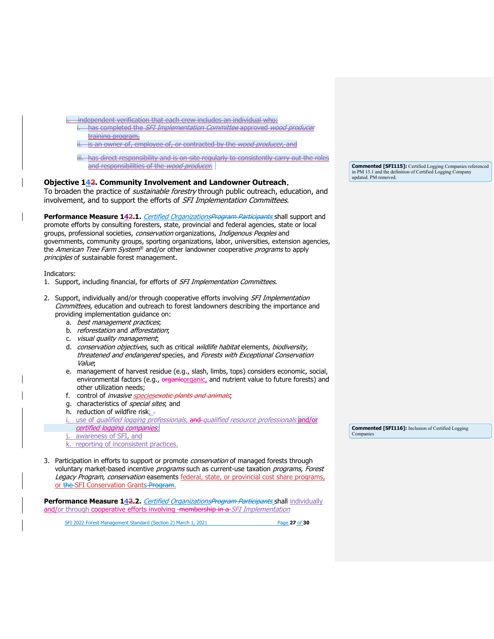independent verification that each crew includes an individual who: has completed the SFI Implementation Committee approved wood producer training program, is an owner of, employee of, or contracted by the *wood producer*, and iii. has direct responsibility and is on site regularly to consistently carry out the roles and responsibilities of the *wood producer*. **Objective 142. Community Involvement and Landowner Outreach**.

<span id="page-26-0"></span>To broaden the practice of *sustainable forestry* through public outreach, education, and involvement, and to support the efforts of *SFI Implementation Committees*.

Performance Measure 142.1. Certified OrganizationsProgram Participants shall support and promote efforts by consulting foresters, state, provincial and federal agencies, state or local groups, professional societies, conservation organizations, Indigenous Peoples and governments, community groups, sporting organizations, labor, universities, extension agencies, the American Tree Farm System® and/or other landowner cooperative programs to apply principles of sustainable forest management.

Indicators:

- 1. Support, including financial, for efforts of SFI Implementation Committees.
- 2. Support, individually and/or through cooperative efforts involving SFI Implementation Committees, education and outreach to forest landowners describing the importance and providing implementation guidance on:
	- a. best management practices;
	- b. *reforestation* and *afforestation*:
	- c. visual quality management;
	- d. conservation objectives, such as critical wildlife habitat elements, biodiversity, threatened and endangered species, and Forests with Exceptional Conservation Value;
	- e. management of harvest residue (e.g., slash, limbs, tops) considers economic, social, environmental factors (e.g., organicorganic, and nutrient value to future forests) and other utilization needs;
	- f. control of *invasive speciesexotic plants and animals*;
	- g. characteristics of *special sites*; and
	- h. reduction of wildfire risk;
	- i. use of qualified logging professionals, and qualified resource professionals and/or certified logging companies;
	- j. awareness of SFI, and
	- k. reporting of inconsistent practices.
- 3. Participation in efforts to support or promote *conservation* of managed forests through voluntary market-based incentive *programs* such as current-use taxation *programs, Forest* Legacy Program, conservation easements federal, state, or provincial cost share programs, or the SFI Conservation Grants Program.

**Performance Measure 142.2.** Certified OrganizationsProgram Participants shall individually and/or through cooperative efforts involving -membership in a-SFI Implementation

SFI 2022 Forest Management Standard (Section 2) March 1, 2021 Page **27** of **30**

**Commented [SFI115]:** Certified Logging Companies referenced in PM 13.1 and the definition of Certified Logging Company updated. PM removed.

**Commented [SFI116]:** Inclusion of Certified Logging Companies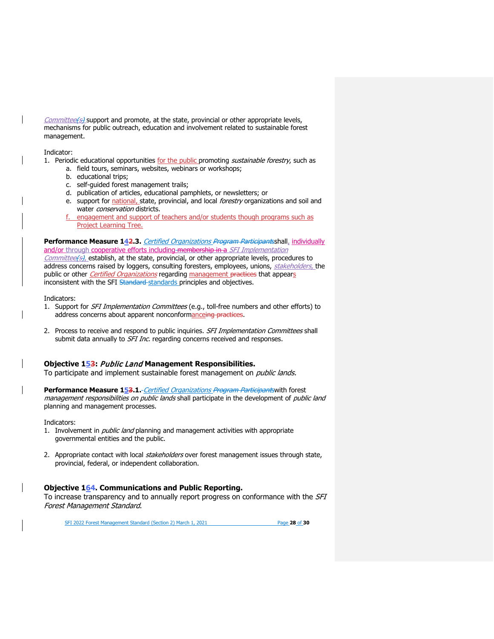Committee(s) support and promote, at the state, provincial or other appropriate levels, mechanisms for public outreach, education and involvement related to sustainable forest management.

Indicator:

- 1. Periodic educational opportunities for the public promoting sustainable forestry, such as
	- a. field tours, seminars, websites, webinars or workshops;
	- b. educational trips;
	- c. self-guided forest management trails;
	- d. publication of articles, educational pamphlets, or newsletters; or
	- e. support for national, state, provincial, and local *forestry* organizations and soil and water conservation districts.
	- f. engagement and support of teachers and/or students though programs such as Project Learning Tree.

**Performance Measure 142.3.** Certified Organizations Program Participantsshall, individually and/or through cooperative efforts including membership in a SFI Implementation Committee(s), establish, at the state, provincial, or other appropriate levels, procedures to address concerns raised by loggers, consulting foresters, employees, unions, stakeholders, the public or other *Certified Organizations* regarding management practices that appears inconsistent with the SFI Standard-standards principles and objectives.

#### Indicators:

- 1. Support for SFI Implementation Committees (e.g., toll-free numbers and other efforts) to address concerns about apparent nonconformanceing practices.
- 2. Process to receive and respond to public inquiries. SFI Implementation Committees shall submit data annually to *SFI Inc.* regarding concerns received and responses.

## <span id="page-27-0"></span>**Objective 153:** Public Land **Management Responsibilities.**

To participate and implement sustainable forest management on *public lands.* 

Performance Measure 153.1.-Certified Organizations Program Participants with forest management responsibilities on public lands shall participate in the development of public land planning and management processes.

Indicators:

- 1. Involvement in *public land* planning and management activities with appropriate governmental entities and the public.
- 2. Appropriate contact with local stakeholders over forest management issues through state, provincial, federal, or independent collaboration.

# <span id="page-27-1"></span>**Objective 164. Communications and Public Reporting.**

To increase transparency and to annually report progress on conformance with the SFI Forest Management Standard.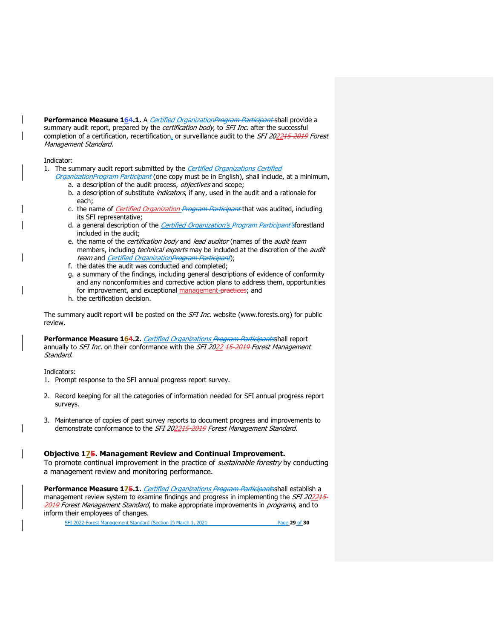Performance Measure 164.1. A Certified Organization Program Participant shall provide a summary audit report, prepared by the *certification body*, to *SFI Inc*. after the successful completion of a certification, recertification, or surveillance audit to the SFI 202215-2019 Forest Management Standard.

## Indicator:

1. The summary audit report submitted by the Certified Organizations Certified

- OrganizationProgram Participant (one copy must be in English), shall include, at a minimum, a. a description of the audit process, objectives and scope;
	- b. a description of substitute *indicators*, if any, used in the audit and a rationale for each;
	- c. the name of *Certified Organization Program Participant* that was audited, including its SFI representative;
	- d. a general description of the *Certified Organization's Program Participant's*forestland included in the audit;
	- e. the name of the certification body and lead auditor (names of the audit team members, including *technical experts* may be included at the discretion of the *audit* team and Certified OrganizationProgram Participant);
	- f. the dates the audit was conducted and completed;
	- g. a summary of the findings, including general descriptions of evidence of conformity and any nonconformities and corrective action plans to address them, opportunities for improvement, and exceptional management practices; and
	- h. the certification decision.

The summary audit report will be posted on the SFI Inc. website [\(www.forests.org\)](http://www.forests.org/) for public review.

Performance Measure 164.2. Certified Organizations Program Participantsshall report annually to *SFI Inc.* on their conformance with the *SFI 2022 45-2019 Forest Management* Standard.

Indicators:

- 1. Prompt response to the SFI annual progress report survey.
- 2. Record keeping for all the categories of information needed for SFI annual progress report surveys.
- 3. Maintenance of copies of past survey reports to document progress and improvements to demonstrate conformance to the SFI 202215-2019 Forest Management Standard.

## <span id="page-28-0"></span>**Objective 175. Management Review and Continual Improvement.**

To promote continual improvement in the practice of *sustainable forestry* by conducting a management review and monitoring performance.

Performance Measure 175.1. Certified Organizations Program Participantsshall establish a management review system to examine findings and progress in implementing the SFI 202245-2019 Forest Management Standard, to make appropriate improvements in programs, and to inform their employees of changes.

SFI 2022 Forest Management Standard (Section 2) March 1, 2021 Page **29** of **30**